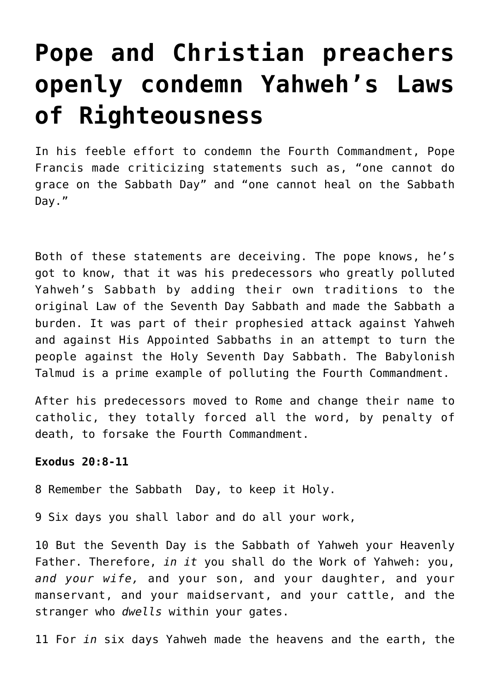# **[Pope and Christian preachers](https://yahwehsbranch.com/pope-and-christian-preachers-openly-condemn-yahwehs-laws-of-righteousness/) [openly condemn Yahweh's Laws](https://yahwehsbranch.com/pope-and-christian-preachers-openly-condemn-yahwehs-laws-of-righteousness/) [of Righteousness](https://yahwehsbranch.com/pope-and-christian-preachers-openly-condemn-yahwehs-laws-of-righteousness/)**

In his feeble effort to condemn the Fourth Commandment, Pope Francis made criticizing statements such as, "one cannot do grace on the Sabbath Day" and "one cannot heal on the Sabbath Day."

Both of these statements are deceiving. The pope knows, he's got to know, that it was his predecessors who greatly polluted Yahweh's Sabbath by adding their own traditions to the original Law of the Seventh Day Sabbath and made the Sabbath a burden. It was part of their prophesied attack against Yahweh and against His Appointed Sabbaths in an attempt to turn the people against the Holy Seventh Day Sabbath. The Babylonish Talmud is a prime example of polluting the Fourth Commandment.

After his predecessors moved to Rome and change their name to catholic, they totally forced all the word, by penalty of death, to forsake the Fourth Commandment.

# **Exodus 20:8-11**

8 Remember the Sabbath Day, to keep it Holy.

9 Six days you shall labor and do all your work,

10 But the Seventh Day is the Sabbath of Yahweh your Heavenly Father. Therefore, *in it* you shall do the Work of Yahweh: you, *and your wife,* and your son, and your daughter, and your manservant, and your maidservant, and your cattle, and the stranger who *dwells* within your gates.

11 For *in* six days Yahweh made the heavens and the earth, the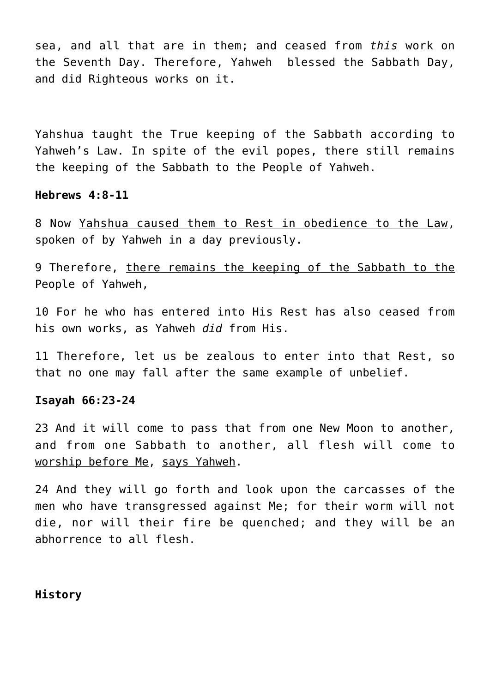sea, and all that are in them; and ceased from *this* work on the Seventh Day. Therefore, Yahweh blessed the Sabbath Day, and did Righteous works on it.

Yahshua taught the True keeping of the Sabbath according to Yahweh's Law. In spite of the evil popes, there still remains the keeping of the Sabbath to the People of Yahweh.

#### **Hebrews 4:8-11**

8 Now Yahshua caused them to Rest in obedience to the Law, spoken of by Yahweh in a day previously.

9 Therefore, there remains the keeping of the Sabbath to the People of Yahweh.

10 For he who has entered into His Rest has also ceased from his own works, as Yahweh *did* from His.

11 Therefore, let us be zealous to enter into that Rest, so that no one may fall after the same example of unbelief.

## **Isayah 66:23-24**

23 And it will come to pass that from one New Moon to another, and from one Sabbath to another, all flesh will come to worship before Me, says Yahweh.

24 And they will go forth and look upon the carcasses of the men who have transgressed against Me; for their worm will not die, nor will their fire be quenched; and they will be an abhorrence to all flesh.

**History**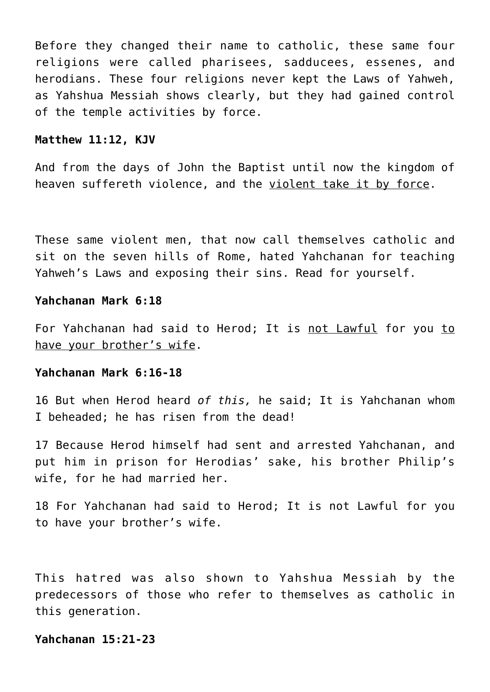Before they changed their name to catholic, these same four religions were called pharisees, sadducees, essenes, and herodians. These four religions never kept the Laws of Yahweh, as Yahshua Messiah shows clearly, but they had gained control of the temple activities by force.

#### **Matthew 11:12, KJV**

And from the days of John the Baptist until now the kingdom of heaven suffereth violence, and the violent take it by force.

These same violent men, that now call themselves catholic and sit on the seven hills of Rome, hated Yahchanan for teaching Yahweh's Laws and exposing their sins. Read for yourself.

## **Yahchanan Mark 6:18**

For Yahchanan had said to Herod; It is not Lawful for you to have your brother's wife.

## **Yahchanan Mark 6:16-18**

16 But when Herod heard *of this,* he said; It is Yahchanan whom I beheaded; he has risen from the dead!

17 Because Herod himself had sent and arrested Yahchanan, and put him in prison for Herodias' sake, his brother Philip's wife, for he had married her.

18 For Yahchanan had said to Herod; It is not Lawful for you to have your brother's wife.

This hatred was also shown to Yahshua Messiah by the predecessors of those who refer to themselves as catholic in this generation.

## **Yahchanan 15:21-23**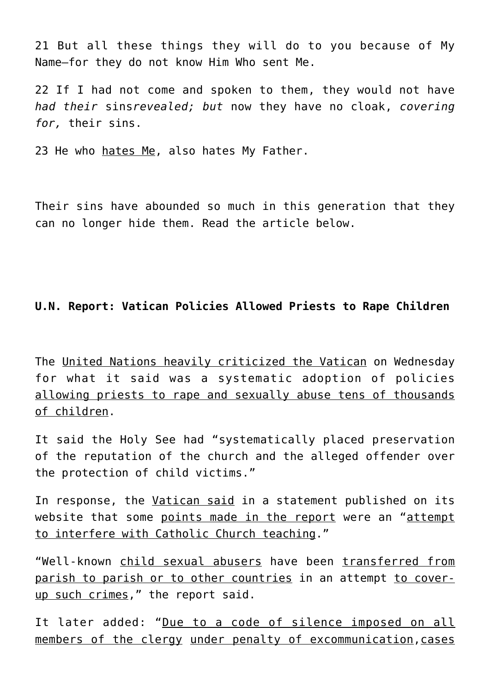21 But all these things they will do to you because of My Name—for they do not know Him Who sent Me.

22 If I had not come and spoken to them, they would not have *had their* sins*revealed; but* now they have no cloak, *covering for,* their sins.

23 He who hates Me, also hates My Father.

Their sins have abounded so much in this generation that they can no longer hide them. Read the article below.

# **U.N. Report: Vatican Policies Allowed Priests to Rape Children**

The United Nations heavily criticized the Vatican on Wednesday for what it said was a systematic adoption of policies allowing priests to rape and sexually abuse tens of thousands of children.

It said the Holy See had "systematically placed preservation of the reputation of the church and the alleged offender over the protection of child victims."

In response, the Vatican said in a statement published on its website that some points made in the report were an "attempt to interfere with Catholic Church teaching."

"Well-known child sexual abusers have been transferred from parish to parish or to other countries in an attempt to coverup such crimes," the report said.

It later added: "Due to a code of silence imposed on all members of the clergy under penalty of excommunication,cases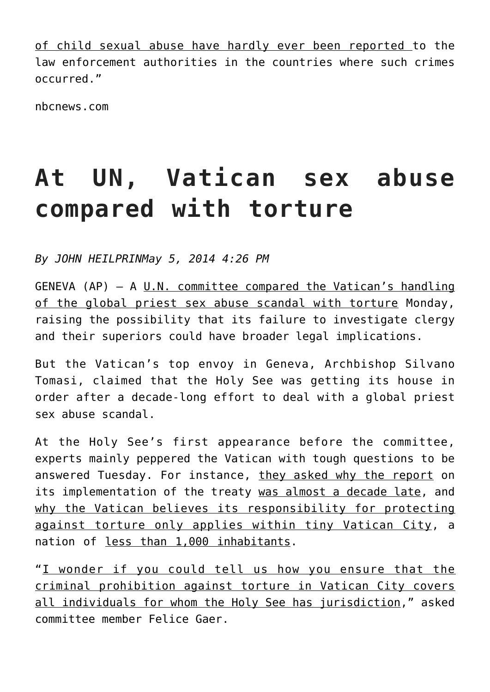of child sexual abuse have hardly ever been reported to the law enforcement authorities in the countries where such crimes occurred."

nbcnews.com

# **At UN, Vatican sex abuse compared with torture**

*By JOHN HEILPRINMay 5, 2014 4:26 PM*

GENEVA (AP)  $-$  A U.N. committee compared the Vatican's handling of the global priest sex abuse scandal with torture Monday, raising the possibility that its failure to investigate clergy and their superiors could have broader legal implications.

But the Vatican's top envoy in Geneva, Archbishop Silvano Tomasi, claimed that the Holy See was getting its house in order after a decade-long effort to deal with a global priest sex abuse scandal.

At the Holy See's first appearance before the committee, experts mainly peppered the Vatican with tough questions to be answered Tuesday. For instance, they asked why the report on its implementation of the treaty was almost a decade late, and why the Vatican believes its responsibility for protecting against torture only applies within tiny Vatican City, a nation of less than 1,000 inhabitants.

"I wonder if you could tell us how you ensure that the criminal prohibition against torture in Vatican City covers all individuals for whom the Holy See has jurisdiction," asked committee member Felice Gaer.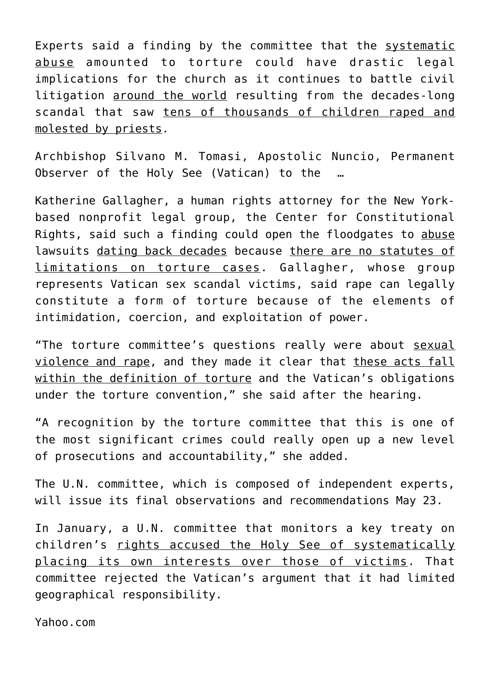Experts said a finding by the committee that the systematic abuse amounted to torture could have drastic legal implications for the church as it continues to battle civil litigation around the world resulting from the decades-long scandal that saw tens of thousands of children raped and molested by priests.

Archbishop Silvano M. Tomasi, Apostolic Nuncio, Permanent Observer of the Holy See (Vatican) to the …

Katherine Gallagher, a human rights attorney for the New Yorkbased nonprofit legal group, the Center for Constitutional Rights, said such a finding could open the floodgates to abuse lawsuits dating back decades because there are no statutes of limitations on torture cases. Gallagher, whose group represents Vatican sex scandal victims, said rape can legally constitute a form of torture because of the elements of intimidation, coercion, and exploitation of power.

"The torture committee's questions really were about sexual violence and rape, and they made it clear that these acts fall within the definition of torture and the Vatican's obligations under the torture convention," she said after the hearing.

"A recognition by the torture committee that this is one of the most significant crimes could really open up a new level of prosecutions and accountability," she added.

The U.N. committee, which is composed of independent experts, will issue its final observations and recommendations May 23.

In January, a U.N. committee that monitors a key treaty on children's rights accused the Holy See of systematically placing its own interests over those of victims. That committee rejected the Vatican's argument that it had limited geographical responsibility.

Yahoo.com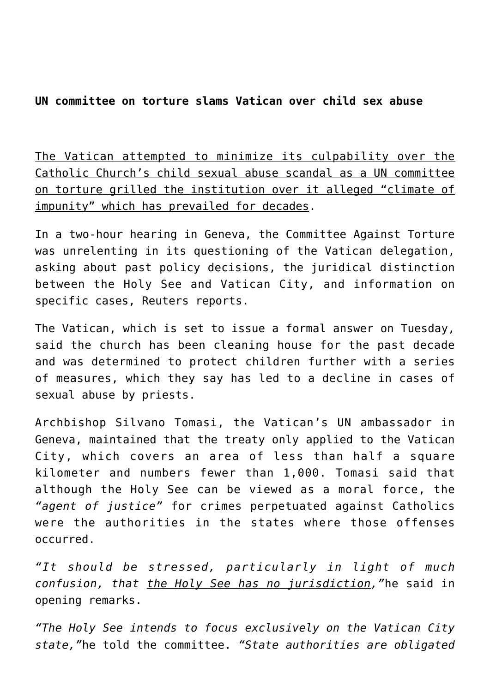# **UN committee on torture slams Vatican over child sex abuse**

The Vatican attempted to minimize its culpability over the Catholic Church's child sexual abuse scandal as a UN committee on torture grilled the institution over it alleged "climate of impunity" which has prevailed for decades.

In a two-hour hearing in Geneva, the Committee Against Torture was unrelenting in its questioning of the Vatican delegation, asking about past policy decisions, the juridical distinction between the Holy See and Vatican City, and information on specific cases, Reuters reports.

The Vatican, which is set to issue a formal answer on Tuesday, said the church has been cleaning house for the past decade and was determined to protect children further with a series of measures, which they say has led to a decline in cases of sexual abuse by priests.

Archbishop Silvano Tomasi, the Vatican's UN ambassador in Geneva, maintained that the treaty only applied to the Vatican City, which covers an area of less than half a square kilometer and numbers fewer than 1,000. Tomasi said that although the Holy See can be viewed as a moral force, the *"agent of justice"* for crimes perpetuated against Catholics were the authorities in the states where those offenses occurred.

*"It should be stressed, particularly in light of much confusion, that the Holy See has no jurisdiction,"*he said in opening remarks.

*"The Holy See intends to focus exclusively on the Vatican City state,"*he told the committee. *"State authorities are obligated*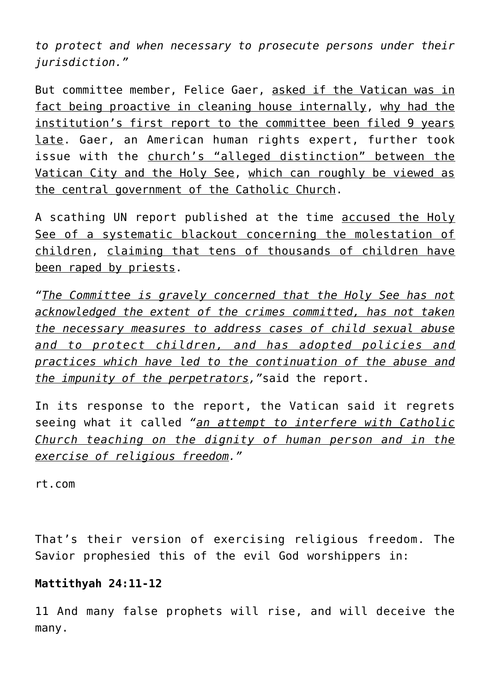*to protect and when necessary to prosecute persons under their jurisdiction."*

But committee member, Felice Gaer, asked if the Vatican was in fact being proactive in cleaning house internally, why had the institution's first report to the committee been filed 9 years late. Gaer, an American human rights expert, further took issue with the church's "alleged distinction" between the Vatican City and the Holy See, which can roughly be viewed as the central government of the Catholic Church.

A scathing UN report published at the time accused the Holy See of a systematic blackout concerning the molestation of children, claiming that tens of thousands of children have been raped by priests.

*"The Committee is gravely concerned that the Holy See has not acknowledged the extent of the crimes committed, has not taken the necessary measures to address cases of child sexual abuse and to protect children, and has adopted policies and practices which have led to the continuation of the abuse and the impunity of the perpetrators,"*said the report.

In its response to the report, the Vatican said it regrets seeing what it called *"an attempt to interfere with Catholic Church teaching on the dignity of human person and in the exercise of religious freedom."*

rt.com

That's their version of exercising religious freedom. The Savior prophesied this of the evil God worshippers in:

# **Mattithyah 24:11-12**

11 And many false prophets will rise, and will deceive the many.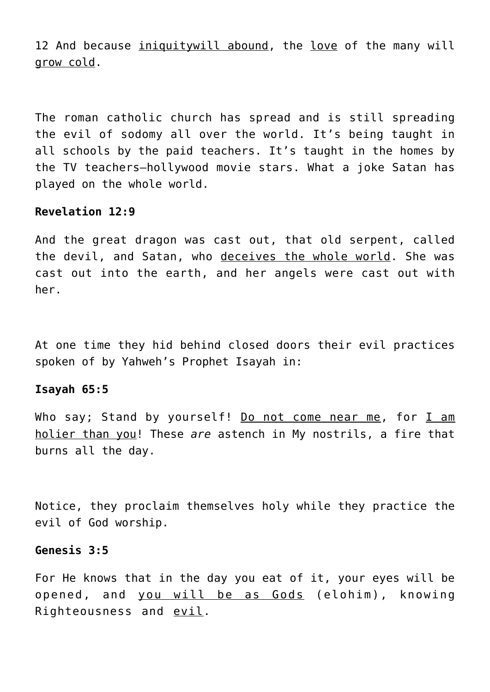12 And because iniquitywill abound, the love of the many will grow cold.

The roman catholic church has spread and is still spreading the evil of sodomy all over the world. It's being taught in all schools by the paid teachers. It's taught in the homes by the TV teachers–hollywood movie stars. What a joke Satan has played on the whole world.

#### **Revelation 12:9**

And the great dragon was cast out, that old serpent, called the devil, and Satan, who deceives the whole world. She was cast out into the earth, and her angels were cast out with her.

At one time they hid behind closed doors their evil practices spoken of by Yahweh's Prophet Isayah in:

#### **Isayah 65:5**

Who say; Stand by yourself! Do not come near me, for I am holier than you! These *are* astench in My nostrils, a fire that burns all the day.

Notice, they proclaim themselves holy while they practice the evil of God worship.

## **Genesis 3:5**

For He knows that in the day you eat of it, your eyes will be opened, and you will be as Gods (elohim), knowing Righteousness and evil.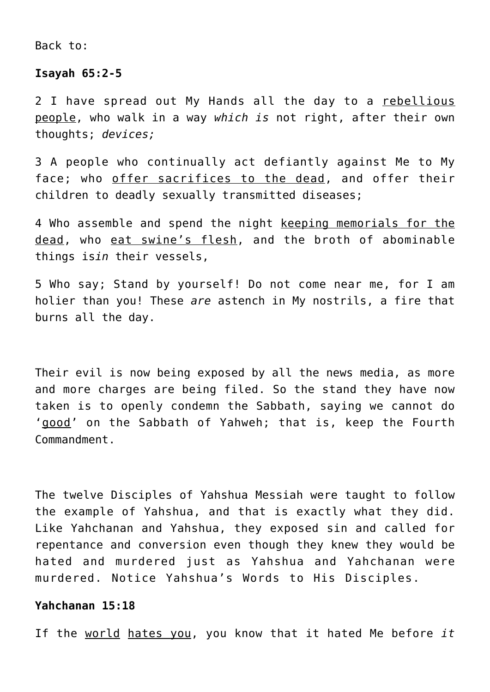Back to:

## **Isayah 65:2-5**

2 I have spread out My Hands all the day to a rebellious people, who walk in a way *which is* not right, after their own thoughts; *devices;*

3 A people who continually act defiantly against Me to My face; who offer sacrifices to the dead, and offer their children to deadly sexually transmitted diseases;

4 Who assemble and spend the night keeping memorials for the dead, who eat swine's flesh, and the broth of abominable things is*in* their vessels,

5 Who say; Stand by yourself! Do not come near me, for I am holier than you! These *are* astench in My nostrils, a fire that burns all the day.

Their evil is now being exposed by all the news media, as more and more charges are being filed. So the stand they have now taken is to openly condemn the Sabbath, saying we cannot do 'good' on the Sabbath of Yahweh; that is, keep the Fourth Commandment.

The twelve Disciples of Yahshua Messiah were taught to follow the example of Yahshua, and that is exactly what they did. Like Yahchanan and Yahshua, they exposed sin and called for repentance and conversion even though they knew they would be hated and murdered just as Yahshua and Yahchanan were murdered. Notice Yahshua's Words to His Disciples.

## **Yahchanan 15:18**

If the world hates you, you know that it hated Me before *it*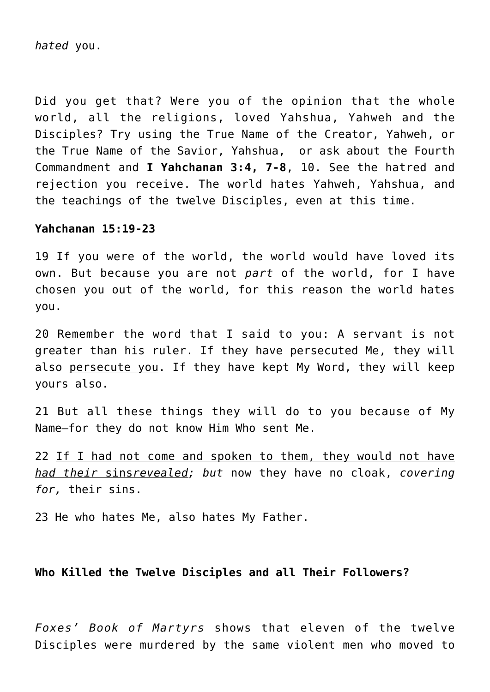*hated* you.

Did you get that? Were you of the opinion that the whole world, all the religions, loved Yahshua, Yahweh and the Disciples? Try using the True Name of the Creator, Yahweh, or the True Name of the Savior, Yahshua, or ask about the Fourth Commandment and **I Yahchanan 3:4, 7-8**, 10. See the hatred and rejection you receive. The world hates Yahweh, Yahshua, and the teachings of the twelve Disciples, even at this time.

## **Yahchanan 15:19-23**

19 If you were of the world, the world would have loved its own. But because you are not *part* of the world, for I have chosen you out of the world, for this reason the world hates you.

20 Remember the word that I said to you: A servant is not greater than his ruler. If they have persecuted Me, they will also persecute you. If they have kept My Word, they will keep yours also.

21 But all these things they will do to you because of My Name—for they do not know Him Who sent Me.

22 If I had not come and spoken to them, they would not have *had their* sins*revealed; but* now they have no cloak, *covering for,* their sins.

23 He who hates Me, also hates My Father.

# **Who Killed the Twelve Disciples and all Their Followers?**

*Foxes' Book of Martyrs* shows that eleven of the twelve Disciples were murdered by the same violent men who moved to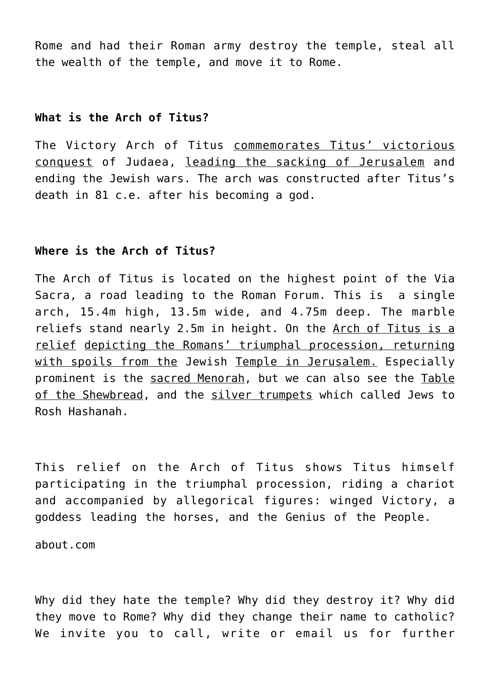Rome and had their Roman army destroy the temple, steal all the wealth of the temple, and move it to Rome.

## **What is the Arch of Titus?**

The Victory Arch of Titus commemorates Titus' victorious conquest of Judaea, leading the sacking of Jerusalem and ending the Jewish wars. The arch was constructed after Titus's death in 81 c.e. after his becoming a god.

## **Where is the Arch of Titus?**

The Arch of Titus is located on the highest point of the Via Sacra, a road leading to the Roman Forum. This is a single arch, 15.4m high, 13.5m wide, and 4.75m deep. The marble reliefs stand nearly 2.5m in height. On the Arch of Titus is a relief depicting the Romans' triumphal procession, returning with spoils from the Jewish Temple in Jerusalem. Especially prominent is the sacred Menorah, but we can also see the Table of the Shewbread, and the silver trumpets which called Jews to Rosh Hashanah.

This relief on the Arch of Titus shows Titus himself participating in the triumphal procession, riding a chariot and accompanied by allegorical figures: winged Victory, a goddess leading the horses, and the Genius of the People.

about.com

Why did they hate the temple? Why did they destroy it? Why did they move to Rome? Why did they change their name to catholic? We invite you to call, write or email us for further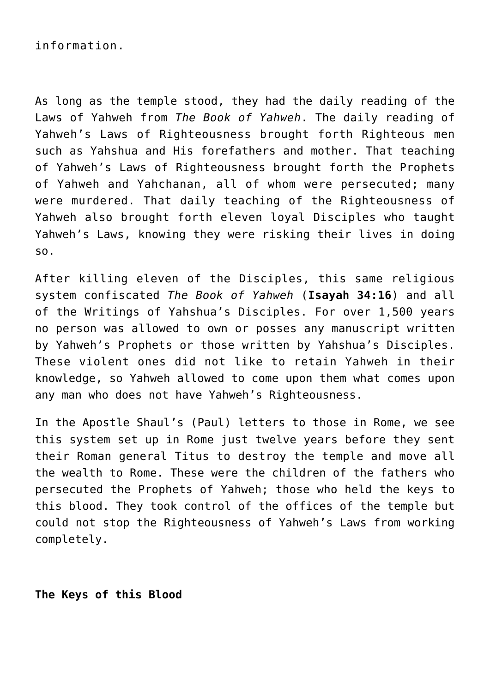As long as the temple stood, they had the daily reading of the Laws of Yahweh from *The Book of Yahweh*. The daily reading of Yahweh's Laws of Righteousness brought forth Righteous men such as Yahshua and His forefathers and mother. That teaching of Yahweh's Laws of Righteousness brought forth the Prophets of Yahweh and Yahchanan, all of whom were persecuted; many were murdered. That daily teaching of the Righteousness of Yahweh also brought forth eleven loyal Disciples who taught Yahweh's Laws, knowing they were risking their lives in doing so.

After killing eleven of the Disciples, this same religious system confiscated *The Book of Yahweh* (**Isayah 34:16**) and all of the Writings of Yahshua's Disciples. For over 1,500 years no person was allowed to own or posses any manuscript written by Yahweh's Prophets or those written by Yahshua's Disciples. These violent ones did not like to retain Yahweh in their knowledge, so Yahweh allowed to come upon them what comes upon any man who does not have Yahweh's Righteousness.

In the Apostle Shaul's (Paul) letters to those in Rome, we see this system set up in Rome just twelve years before they sent their Roman general Titus to destroy the temple and move all the wealth to Rome. These were the children of the fathers who persecuted the Prophets of Yahweh; those who held the keys to this blood. They took control of the offices of the temple but could not stop the Righteousness of Yahweh's Laws from working completely.

**The Keys of this Blood**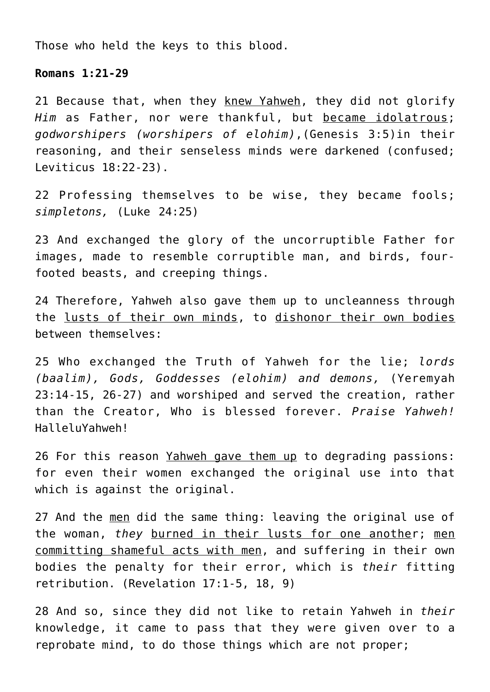Those who held the keys to this blood.

## **Romans 1:21-29**

21 Because that, when they knew Yahweh, they did not glorify *Him* as Father, nor were thankful, but became idolatrous; *godworshipers (worshipers of elohim)*,(Genesis 3:5)in their reasoning, and their senseless minds were darkened (confused; Leviticus 18:22-23).

22 Professing themselves to be wise, they became fools; *simpletons,* (Luke 24:25)

23 And exchanged the glory of the uncorruptible Father for images, made to resemble corruptible man, and birds, fourfooted beasts, and creeping things.

24 Therefore, Yahweh also gave them up to uncleanness through the lusts of their own minds, to dishonor their own bodies between themselves:

25 Who exchanged the Truth of Yahweh for the lie; *lords (baalim), Gods, Goddesses (elohim) and demons,* (Yeremyah 23:14-15, 26-27) and worshiped and served the creation, rather than the Creator, Who is blessed forever. *Praise Yahweh!* HalleluYahweh!

26 For this reason Yahweh gave them up to degrading passions: for even their women exchanged the original use into that which is against the original.

27 And the men did the same thing: leaving the original use of the woman, *they* burned in their lusts for one another; men committing shameful acts with men, and suffering in their own bodies the penalty for their error, which is *their* fitting retribution. (Revelation 17:1-5, 18, 9)

28 And so, since they did not like to retain Yahweh in *their* knowledge, it came to pass that they were given over to a reprobate mind, to do those things which are not proper;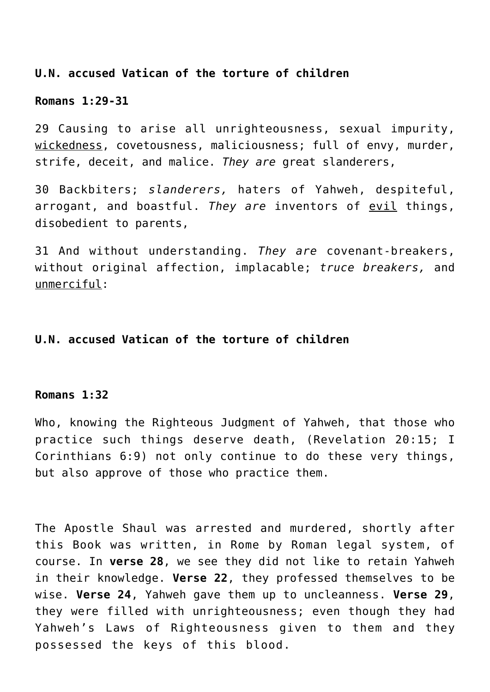# **U.N. accused Vatican of the torture of children**

#### **Romans 1:29-31**

29 Causing to arise all unrighteousness, sexual impurity, wickedness, covetousness, maliciousness; full of envy, murder, strife, deceit, and malice. *They are* great slanderers,

30 Backbiters; *slanderers,* haters of Yahweh, despiteful, arrogant, and boastful. *They are* inventors of evil things, disobedient to parents,

31 And without understanding. *They are* covenant-breakers, without original affection, implacable; *truce breakers,* and unmerciful:

# **U.N. accused Vatican of the torture of children**

#### **Romans 1:32**

Who, knowing the Righteous Judgment of Yahweh, that those who practice such things deserve death, (Revelation 20:15; I Corinthians 6:9) not only continue to do these very things, but also approve of those who practice them.

The Apostle Shaul was arrested and murdered, shortly after this Book was written, in Rome by Roman legal system, of course. In **verse 28**, we see they did not like to retain Yahweh in their knowledge. **Verse 22**, they professed themselves to be wise. **Verse 24**, Yahweh gave them up to uncleanness. **Verse 29**, they were filled with unrighteousness; even though they had Yahweh's Laws of Righteousness given to them and they possessed the keys of this blood.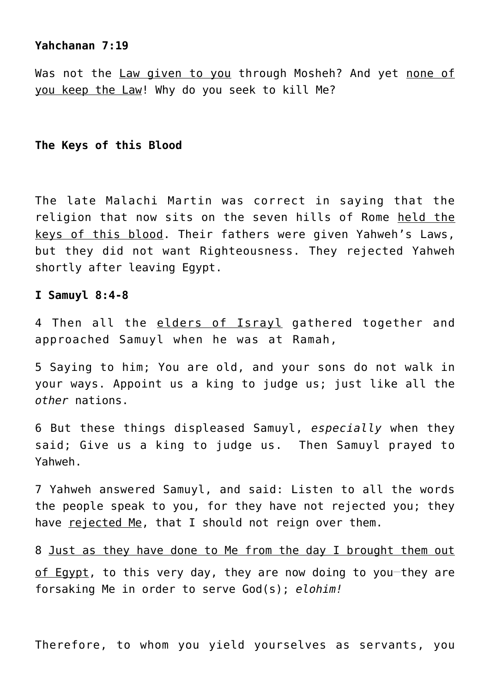## **Yahchanan 7:19**

Was not the Law given to you through Mosheh? And yet none of you keep the Law! Why do you seek to kill Me?

## **The Keys of this Blood**

The late Malachi Martin was correct in saying that the religion that now sits on the seven hills of Rome held the keys of this blood. Their fathers were given Yahweh's Laws, but they did not want Righteousness. They rejected Yahweh shortly after leaving Egypt.

## **I Samuyl 8:4-8**

4 Then all the elders of Israyl gathered together and approached Samuyl when he was at Ramah,

5 Saying to him; You are old, and your sons do not walk in your ways. Appoint us a king to judge us; just like all the *other* nations.

6 But these things displeased Samuyl, *especially* when they said; Give us a king to judge us. Then Samuyl prayed to Yahweh.

7 Yahweh answered Samuyl, and said: Listen to all the words the people speak to you, for they have not rejected you; they have rejected Me, that I should not reign over them.

8 Just as they have done to Me from the day I brought them out of Egypt, to this very day, they are now doing to you-they are forsaking Me in order to serve God(s); *elohim!*

Therefore, to whom you yield yourselves as servants, you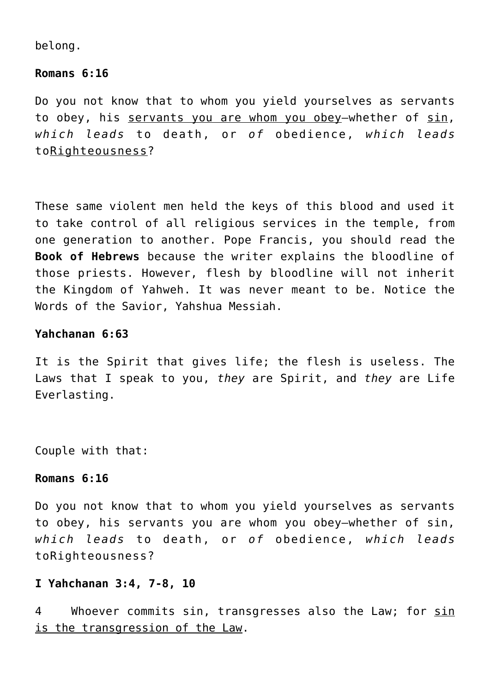belong.

## **Romans 6:16**

Do you not know that to whom you yield yourselves as servants to obey, his servants you are whom you obey—whether of sin, *which leads* to death, or *of* obedience, *which leads* toRighteousness?

These same violent men held the keys of this blood and used it to take control of all religious services in the temple, from one generation to another. Pope Francis, you should read the **Book of Hebrews** because the writer explains the bloodline of those priests. However, flesh by bloodline will not inherit the Kingdom of Yahweh. It was never meant to be. Notice the Words of the Savior, Yahshua Messiah.

# **Yahchanan 6:63**

It is the Spirit that gives life; the flesh is useless. The Laws that I speak to you, *they* are Spirit, and *they* are Life Everlasting.

Couple with that:

## **Romans 6:16**

Do you not know that to whom you yield yourselves as servants to obey, his servants you are whom you obey—whether of sin, *which leads* to death, or *of* obedience, *which leads* toRighteousness?

# **I Yahchanan 3:4, 7-8, 10**

4 Whoever commits sin, transgresses also the Law; for sin is the transgression of the Law.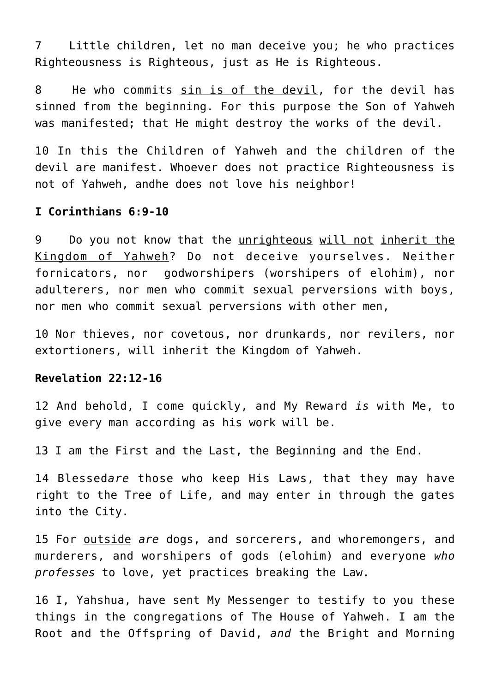7 Little children, let no man deceive you; he who practices Righteousness is Righteous, just as He is Righteous.

8 He who commits sin is of the devil, for the devil has sinned from the beginning. For this purpose the Son of Yahweh was manifested; that He might destroy the works of the devil.

10 In this the Children of Yahweh and the children of the devil are manifest. Whoever does not practice Righteousness is not of Yahweh, andhe does not love his neighbor!

#### **I Corinthians 6:9-10**

9 Do you not know that the unrighteous will not inherit the Kingdom of Yahweh? Do not deceive yourselves. Neither fornicators, nor godworshipers (worshipers of elohim), nor adulterers, nor men who commit sexual perversions with boys, nor men who commit sexual perversions with other men,

10 Nor thieves, nor covetous, nor drunkards, nor revilers, nor extortioners, will inherit the Kingdom of Yahweh.

# **Revelation 22:12-16**

12 And behold, I come quickly, and My Reward *is* with Me, to give every man according as his work will be.

13 I am the First and the Last, the Beginning and the End.

14 Blessed*are* those who keep His Laws, that they may have right to the Tree of Life, and may enter in through the gates into the City.

15 For outside *are* dogs, and sorcerers, and whoremongers, and murderers, and worshipers of gods (elohim) and everyone *who professes* to love, yet practices breaking the Law.

16 I, Yahshua, have sent My Messenger to testify to you these things in the congregations of The House of Yahweh. I am the Root and the Offspring of David, *and* the Bright and Morning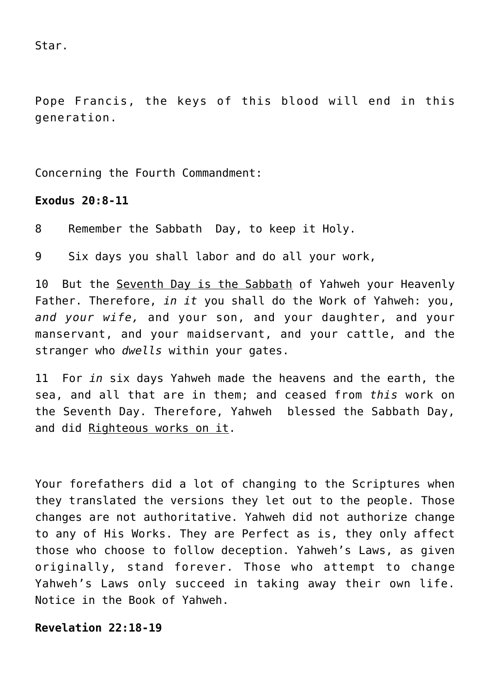Star.

Pope Francis, the keys of this blood will end in this generation.

Concerning the Fourth Commandment:

# **Exodus 20:8-11**

8 Remember the Sabbath Day, to keep it Holy.

9 Six days you shall labor and do all your work,

10 But the Seventh Day is the Sabbath of Yahweh your Heavenly Father. Therefore, *in it* you shall do the Work of Yahweh: you, *and your wife,* and your son, and your daughter, and your manservant, and your maidservant, and your cattle, and the stranger who *dwells* within your gates.

11 For *in* six days Yahweh made the heavens and the earth, the sea, and all that are in them; and ceased from *this* work on the Seventh Day. Therefore, Yahweh blessed the Sabbath Day, and did Righteous works on it.

Your forefathers did a lot of changing to the Scriptures when they translated the versions they let out to the people. Those changes are not authoritative. Yahweh did not authorize change to any of His Works. They are Perfect as is, they only affect those who choose to follow deception. Yahweh's Laws, as given originally, stand forever. Those who attempt to change Yahweh's Laws only succeed in taking away their own life. Notice in the Book of Yahweh.

# **Revelation 22:18-19**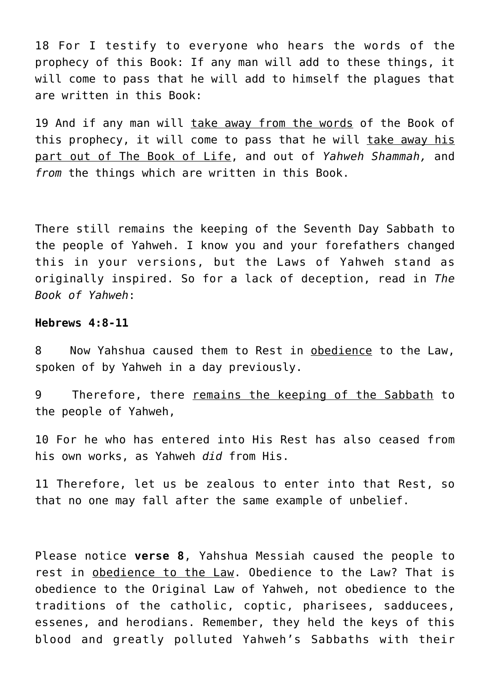18 For I testify to everyone who hears the words of the prophecy of this Book: If any man will add to these things, it will come to pass that he will add to himself the plagues that are written in this Book:

19 And if any man will take away from the words of the Book of this prophecy, it will come to pass that he will take away his part out of The Book of Life, and out of *Yahweh Shammah,* and *from* the things which are written in this Book.

There still remains the keeping of the Seventh Day Sabbath to the people of Yahweh. I know you and your forefathers changed this in your versions, but the Laws of Yahweh stand as originally inspired. So for a lack of deception, read in *The Book of Yahweh*:

## **Hebrews 4:8-11**

8 Now Yahshua caused them to Rest in obedience to the Law, spoken of by Yahweh in a day previously.

9 Therefore, there remains the keeping of the Sabbath to the people of Yahweh,

10 For he who has entered into His Rest has also ceased from his own works, as Yahweh *did* from His.

11 Therefore, let us be zealous to enter into that Rest, so that no one may fall after the same example of unbelief.

Please notice **verse 8**, Yahshua Messiah caused the people to rest in obedience to the Law. Obedience to the Law? That is obedience to the Original Law of Yahweh, not obedience to the traditions of the catholic, coptic, pharisees, sadducees, essenes, and herodians. Remember, they held the keys of this blood and greatly polluted Yahweh's Sabbaths with their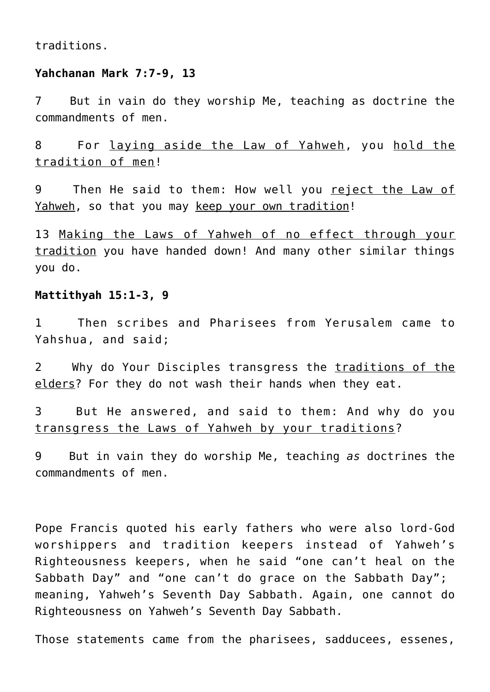traditions.

#### **Yahchanan Mark 7:7-9, 13**

7 But in vain do they worship Me, teaching as doctrine the commandments of men.

8 For laying aside the Law of Yahweh, you hold the tradition of men!

9 Then He said to them: How well you reject the Law of Yahweh, so that you may keep your own tradition!

13 Making the Laws of Yahweh of no effect through your tradition you have handed down! And many other similar things you do.

## **Mattithyah 15:1-3, 9**

1 Then scribes and Pharisees from Yerusalem came to Yahshua, and said;

2 Why do Your Disciples transgress the traditions of the elders? For they do not wash their hands when they eat.

3 But He answered, and said to them: And why do you transgress the Laws of Yahweh by your traditions?

9 But in vain they do worship Me, teaching *as* doctrines the commandments of men.

Pope Francis quoted his early fathers who were also lord-God worshippers and tradition keepers instead of Yahweh's Righteousness keepers, when he said "one can't heal on the Sabbath Day" and "one can't do grace on the Sabbath Day"; meaning, Yahweh's Seventh Day Sabbath. Again, one cannot do Righteousness on Yahweh's Seventh Day Sabbath.

Those statements came from the pharisees, sadducees, essenes,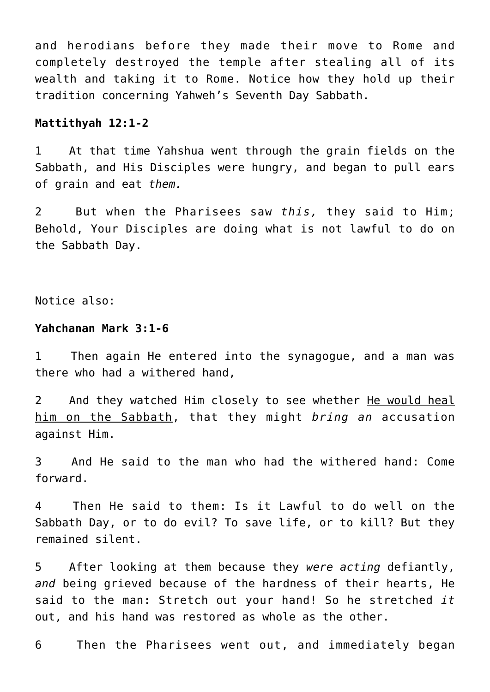and herodians before they made their move to Rome and completely destroyed the temple after stealing all of its wealth and taking it to Rome. Notice how they hold up their tradition concerning Yahweh's Seventh Day Sabbath.

#### **Mattithyah 12:1-2**

1 At that time Yahshua went through the grain fields on the Sabbath, and His Disciples were hungry, and began to pull ears of grain and eat *them.*

2 But when the Pharisees saw *this,* they said to Him; Behold, Your Disciples are doing what is not lawful to do on the Sabbath Day.

Notice also:

#### **Yahchanan Mark 3:1-6**

1 Then again He entered into the synagogue, and a man was there who had a withered hand,

2 And they watched Him closely to see whether He would heal him on the Sabbath, that they might *bring an* accusation against Him.

3 And He said to the man who had the withered hand: Come forward.

4 Then He said to them: Is it Lawful to do well on the Sabbath Day, or to do evil? To save life, or to kill? But they remained silent.

5 After looking at them because they *were acting* defiantly, *and* being grieved because of the hardness of their hearts, He said to the man: Stretch out your hand! So he stretched *it* out, and his hand was restored as whole as the other.

6 Then the Pharisees went out, and immediately began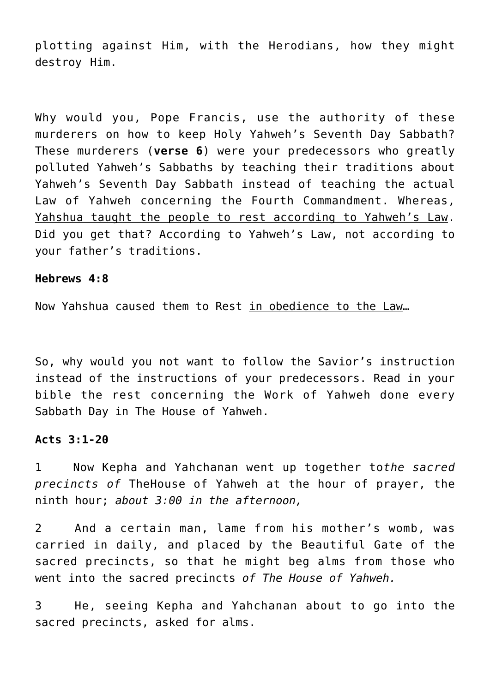plotting against Him, with the Herodians, how they might destroy Him.

Why would you, Pope Francis, use the authority of these murderers on how to keep Holy Yahweh's Seventh Day Sabbath? These murderers (**verse 6**) were your predecessors who greatly polluted Yahweh's Sabbaths by teaching their traditions about Yahweh's Seventh Day Sabbath instead of teaching the actual Law of Yahweh concerning the Fourth Commandment. Whereas, Yahshua taught the people to rest according to Yahweh's Law. Did you get that? According to Yahweh's Law, not according to your father's traditions.

#### **Hebrews 4:8**

Now Yahshua caused them to Rest in obedience to the Law…

So, why would you not want to follow the Savior's instruction instead of the instructions of your predecessors. Read in your bible the rest concerning the Work of Yahweh done every Sabbath Day in The House of Yahweh.

## **Acts 3:1-20**

1 Now Kepha and Yahchanan went up together to*the sacred precincts of* TheHouse of Yahweh at the hour of prayer, the ninth hour; *about 3:00 in the afternoon,*

2 And a certain man, lame from his mother's womb, was carried in daily, and placed by the Beautiful Gate of the sacred precincts, so that he might beg alms from those who went into the sacred precincts *of The House of Yahweh.*

3 He, seeing Kepha and Yahchanan about to go into the sacred precincts, asked for alms.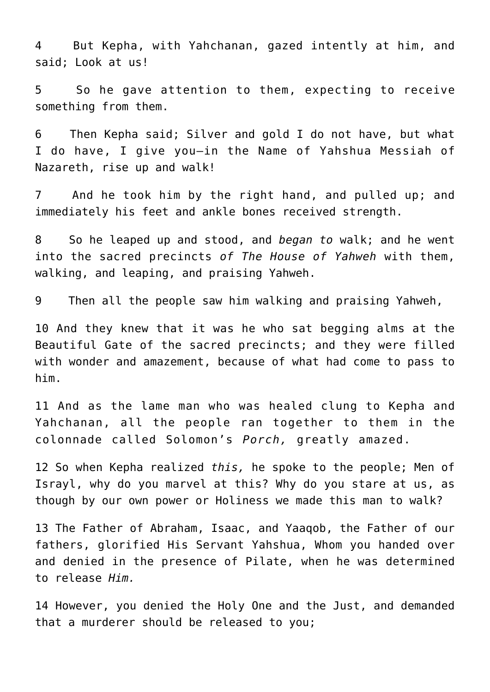4 But Kepha, with Yahchanan, gazed intently at him, and said; Look at us!

5 So he gave attention to them, expecting to receive something from them.

6 Then Kepha said; Silver and gold I do not have, but what I do have, I give you—in the Name of Yahshua Messiah of Nazareth, rise up and walk!

7 And he took him by the right hand, and pulled up; and immediately his feet and ankle bones received strength.

8 So he leaped up and stood, and *began to* walk; and he went into the sacred precincts *of The House of Yahweh* with them, walking, and leaping, and praising Yahweh.

9 Then all the people saw him walking and praising Yahweh,

10 And they knew that it was he who sat begging alms at the Beautiful Gate of the sacred precincts; and they were filled with wonder and amazement, because of what had come to pass to him.

11 And as the lame man who was healed clung to Kepha and Yahchanan, all the people ran together to them in the colonnade called Solomon's *Porch,* greatly amazed.

12 So when Kepha realized *this,* he spoke to the people; Men of Israyl, why do you marvel at this? Why do you stare at us, as though by our own power or Holiness we made this man to walk?

13 The Father of Abraham, Isaac, and Yaaqob, the Father of our fathers, glorified His Servant Yahshua, Whom you handed over and denied in the presence of Pilate, when he was determined to release *Him.*

14 However, you denied the Holy One and the Just, and demanded that a murderer should be released to you;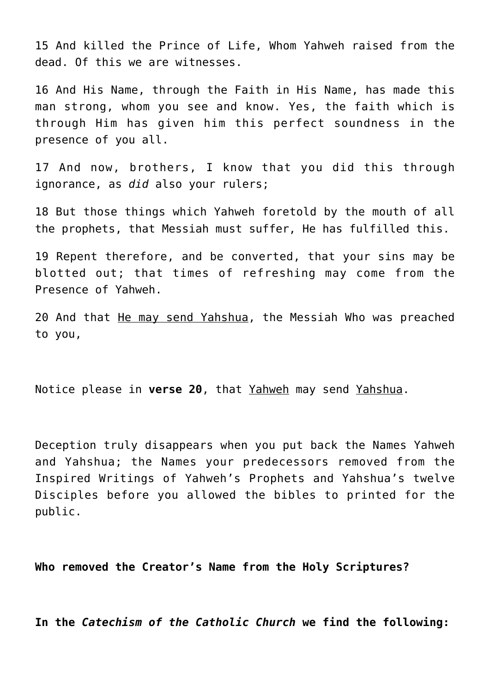15 And killed the Prince of Life, Whom Yahweh raised from the dead. Of this we are witnesses.

16 And His Name, through the Faith in His Name, has made this man strong, whom you see and know. Yes, the faith which is through Him has given him this perfect soundness in the presence of you all.

17 And now, brothers, I know that you did this through ignorance, as *did* also your rulers;

18 But those things which Yahweh foretold by the mouth of all the prophets, that Messiah must suffer, He has fulfilled this.

19 Repent therefore, and be converted, that your sins may be blotted out; that times of refreshing may come from the Presence of Yahweh.

20 And that He may send Yahshua, the Messiah Who was preached to you,

Notice please in **verse 20**, that Yahweh may send Yahshua.

Deception truly disappears when you put back the Names Yahweh and Yahshua; the Names your predecessors removed from the Inspired Writings of Yahweh's Prophets and Yahshua's twelve Disciples before you allowed the bibles to printed for the public.

**Who removed the Creator's Name from the Holy Scriptures?**

**In the** *Catechism of the Catholic Church* **we find the following:**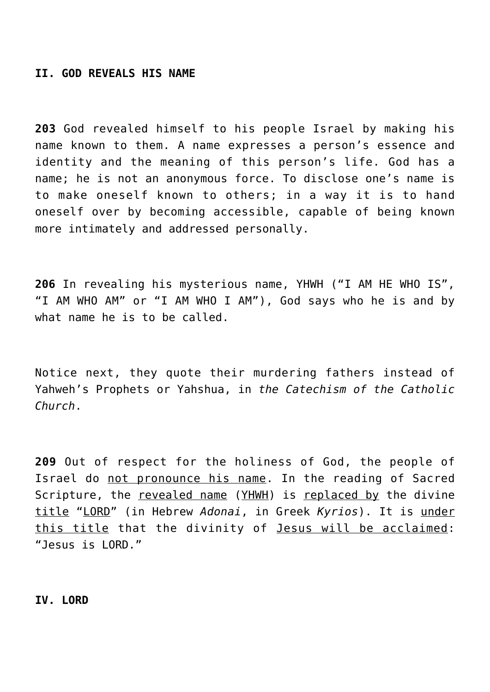#### **II. GOD REVEALS HIS NAME**

**203** God revealed himself to his people Israel by making his name known to them. A name expresses a person's essence and identity and the meaning of this person's life. God has a name; he is not an anonymous force. To disclose one's name is to make oneself known to others; in a way it is to hand oneself over by becoming accessible, capable of being known more intimately and addressed personally.

**206** In revealing his mysterious name, YHWH ("I AM HE WHO IS", "I AM WHO AM" or "I AM WHO I AM"), God says who he is and by what name he is to be called.

Notice next, they quote their murdering fathers instead of Yahweh's Prophets or Yahshua, in *the Catechism of the Catholic Church*.

**209** Out of respect for the holiness of God, the people of Israel do not pronounce his name. In the reading of Sacred Scripture, the revealed name (YHWH) is replaced by the divine title "LORD" (in Hebrew *Adonai*, in Greek *Kyrios*). It is under this title that the divinity of Jesus will be acclaimed: "Jesus is LORD."

**IV. LORD**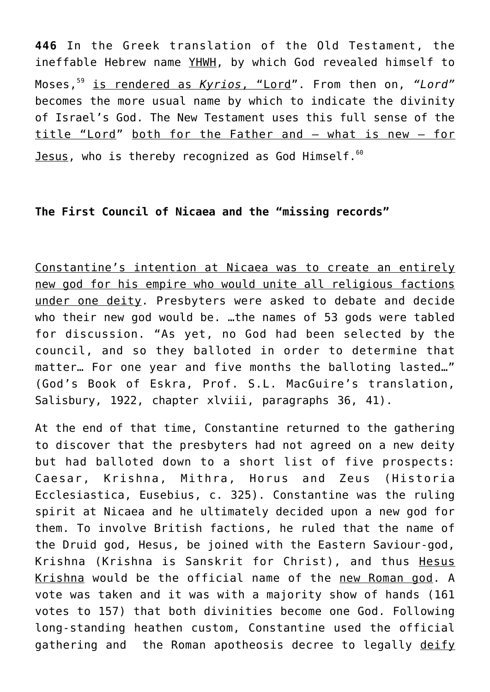**446** In the Greek translation of the Old Testament, the ineffable Hebrew name YHWH, by which God revealed himself to Moses,<sup>59</sup> is rendered as *Kyrios*, "Lord". From then on, *"Lord"* becomes the more usual name by which to indicate the divinity of Israel's God. The New Testament uses this full sense of the title "Lord" both for the Father and – what is new – for Jesus, who is thereby recognized as God Himself.<sup>60</sup>

# **The First Council of Nicaea and the "missing records"**

Constantine's intention at Nicaea was to create an entirely new god for his empire who would unite all religious factions under one deity. Presbyters were asked to debate and decide who their new god would be. …the names of 53 gods were tabled for discussion. "As yet, no God had been selected by the council, and so they balloted in order to determine that matter… For one year and five months the balloting lasted…" (God's Book of Eskra, Prof. S.L. MacGuire's translation, Salisbury, 1922, chapter xlviii, paragraphs 36, 41).

At the end of that time, Constantine returned to the gathering to discover that the presbyters had not agreed on a new deity but had balloted down to a short list of five prospects: Caesar, Krishna, Mithra, Horus and Zeus (Historia Ecclesiastica, Eusebius, c. 325). Constantine was the ruling spirit at Nicaea and he ultimately decided upon a new god for them. To involve British factions, he ruled that the name of the Druid god, Hesus, be joined with the Eastern Saviour-god, Krishna (Krishna is Sanskrit for Christ), and thus Hesus Krishna would be the official name of the new Roman god. A vote was taken and it was with a majority show of hands (161 votes to 157) that both divinities become one God. Following long-standing heathen custom, Constantine used the official gathering and the Roman apotheosis decree to legally deify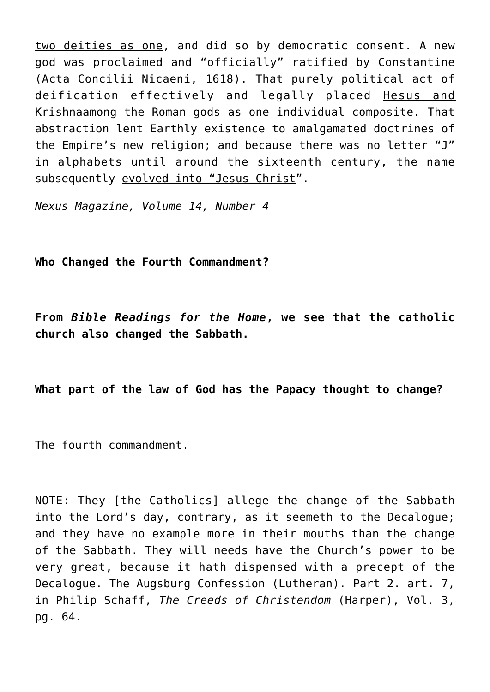two deities as one, and did so by democratic consent. A new god was proclaimed and "officially" ratified by Constantine (Acta Concilii Nicaeni, 1618). That purely political act of deification effectively and legally placed Hesus and Krishnaamong the Roman gods as one individual composite. That abstraction lent Earthly existence to amalgamated doctrines of the Empire's new religion; and because there was no letter "J" in alphabets until around the sixteenth century, the name subsequently evolved into "Jesus Christ".

*Nexus Magazine, Volume 14, Number 4*

**Who Changed the Fourth Commandment?**

**From** *Bible Readings for the Home***, we see that the catholic church also changed the Sabbath.**

**What part of the law of God has the Papacy thought to change?**

The fourth commandment.

NOTE: They [the Catholics] allege the change of the Sabbath into the Lord's day, contrary, as it seemeth to the Decalogue; and they have no example more in their mouths than the change of the Sabbath. They will needs have the Church's power to be very great, because it hath dispensed with a precept of the Decalogue. The Augsburg Confession (Lutheran). Part 2. art. 7, in Philip Schaff, *The Creeds of Christendom* (Harper), Vol. 3, pg. 64.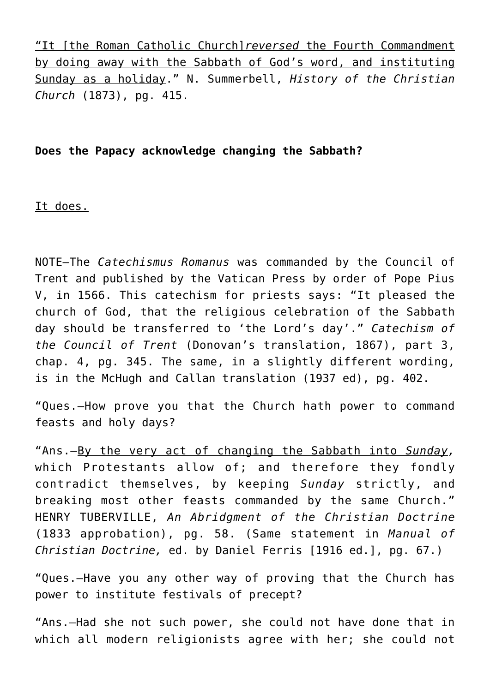"It [the Roman Catholic Church]*reversed* the Fourth Commandment by doing away with the Sabbath of God's word, and instituting Sunday as a holiday." N. Summerbell, *History of the Christian Church* (1873), pg. 415.

# **Does the Papacy acknowledge changing the Sabbath?**

It does.

NOTE—The *Catechismus Romanus* was commanded by the Council of Trent and published by the Vatican Press by order of Pope Pius V, in 1566. This catechism for priests says: "It pleased the church of God, that the religious celebration of the Sabbath day should be transferred to 'the Lord's day'." *Catechism of the Council of Trent* (Donovan's translation, 1867), part 3, chap. 4, pg. 345. The same, in a slightly different wording, is in the McHugh and Callan translation (1937 ed), pg. 402.

"Ques.—How prove you that the Church hath power to command feasts and holy days?

"Ans.—By the very act of changing the Sabbath into *Sunday,* which Protestants allow of; and therefore they fondly contradict themselves, by keeping *Sunday* strictly, and breaking most other feasts commanded by the same Church." HENRY TUBERVILLE, *An Abridgment of the Christian Doctrine* (1833 approbation), pg. 58. (Same statement in *Manual of Christian Doctrine,* ed. by Daniel Ferris [1916 ed.], pg. 67.)

"Ques.—Have you any other way of proving that the Church has power to institute festivals of precept?

"Ans.—Had she not such power, she could not have done that in which all modern religionists agree with her; she could not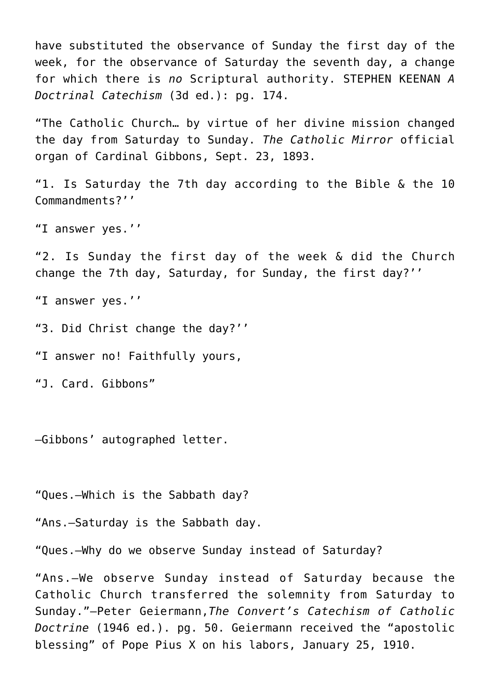have substituted the observance of Sunday the first day of the week, for the observance of Saturday the seventh day, a change for which there is *no* Scriptural authority. STEPHEN KEENAN *A Doctrinal Catechism* (3d ed.): pg. 174.

"The Catholic Church… by virtue of her divine mission changed the day from Saturday to Sunday. *The Catholic Mirror* official organ of Cardinal Gibbons, Sept. 23, 1893.

"1. Is Saturday the 7th day according to the Bible & the 10 Commandments?''

"I answer yes.''

"2. Is Sunday the first day of the week & did the Church change the 7th day, Saturday, for Sunday, the first day?''

"I answer yes.''

"3. Did Christ change the day?''

"I answer no! Faithfully yours,

"J. Card. Gibbons"

—Gibbons' autographed letter.

"Ques.—Which is the Sabbath day?

"Ans.—Saturday is the Sabbath day.

"Ques.—Why do we observe Sunday instead of Saturday?

"Ans.—We observe Sunday instead of Saturday because the Catholic Church transferred the solemnity from Saturday to Sunday."—Peter Geiermann,*The Convert's Catechism of Catholic Doctrine* (1946 ed.). pg. 50. Geiermann received the "apostolic blessing" of Pope Pius X on his labors, January 25, 1910.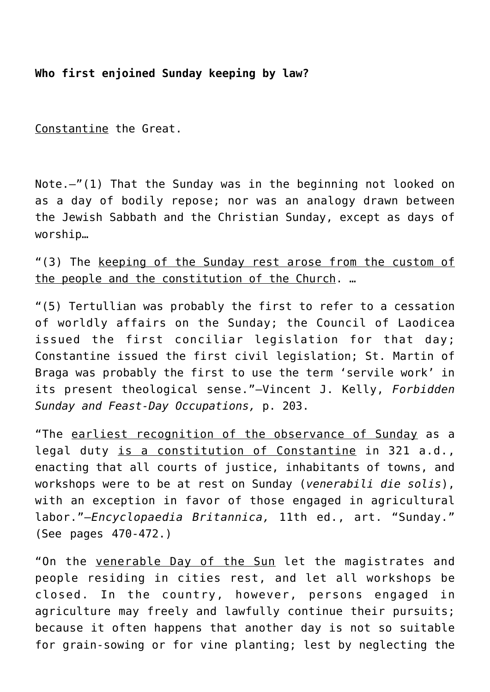# **Who first enjoined Sunday keeping by law?**

Constantine the Great.

Note.—"(1) That the Sunday was in the beginning not looked on as a day of bodily repose; nor was an analogy drawn between the Jewish Sabbath and the Christian Sunday, except as days of worship…

"(3) The keeping of the Sunday rest arose from the custom of the people and the constitution of the Church. …

"(5) Tertullian was probably the first to refer to a cessation of worldly affairs on the Sunday; the Council of Laodicea issued the first conciliar legislation for that day; Constantine issued the first civil legislation; St. Martin of Braga was probably the first to use the term 'servile work' in its present theological sense."—Vincent J. Kelly, *Forbidden Sunday and Feast-Day Occupations,* p. 203.

"The earliest recognition of the observance of Sunday as a legal duty is a constitution of Constantine in 321 a.d., enacting that all courts of justice, inhabitants of towns, and workshops were to be at rest on Sunday (*venerabili die solis*), with an exception in favor of those engaged in agricultural labor."—*Encyclopaedia Britannica,* 11th ed., art. "Sunday." (See pages 470-472.)

"On the venerable Day of the Sun let the magistrates and people residing in cities rest, and let all workshops be closed. In the country, however, persons engaged in agriculture may freely and lawfully continue their pursuits; because it often happens that another day is not so suitable for grain-sowing or for vine planting; lest by neglecting the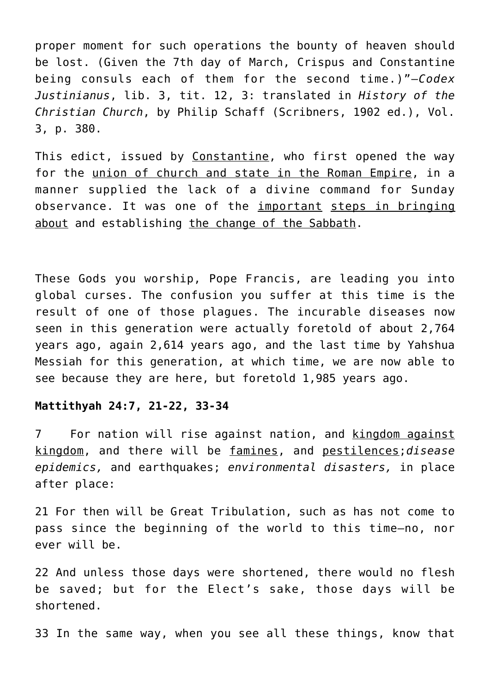proper moment for such operations the bounty of heaven should be lost. (Given the 7th day of March, Crispus and Constantine being consuls each of them for the second time.)"—*Codex Justinianus*, lib. 3, tit. 12, 3: translated in *History of the Christian Church*, by Philip Schaff (Scribners, 1902 ed.), Vol. 3, p. 380.

This edict, issued by Constantine, who first opened the way for the union of church and state in the Roman Empire, in a manner supplied the lack of a divine command for Sunday observance. It was one of the important steps in bringing about and establishing the change of the Sabbath.

These Gods you worship, Pope Francis, are leading you into global curses. The confusion you suffer at this time is the result of one of those plagues. The incurable diseases now seen in this generation were actually foretold of about 2,764 years ago, again 2,614 years ago, and the last time by Yahshua Messiah for this generation, at which time, we are now able to see because they are here, but foretold 1,985 years ago.

## **Mattithyah 24:7, 21-22, 33-34**

7 For nation will rise against nation, and kingdom against kingdom, and there will be famines, and pestilences;*disease epidemics,* and earthquakes; *environmental disasters,* in place after place:

21 For then will be Great Tribulation, such as has not come to pass since the beginning of the world to this time—no, nor ever will be.

22 And unless those days were shortened, there would no flesh be saved; but for the Elect's sake, those days will be shortened.

33 In the same way, when you see all these things, know that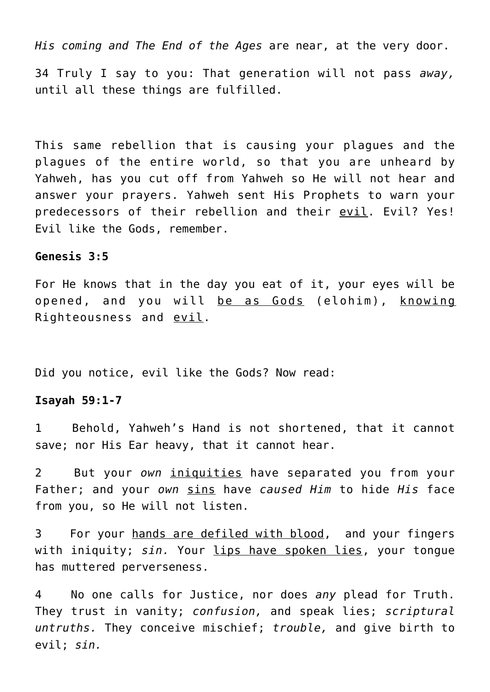*His coming and The End of the Ages* are near, at the very door.

34 Truly I say to you: That generation will not pass *away,* until all these things are fulfilled.

This same rebellion that is causing your plagues and the plagues of the entire world, so that you are unheard by Yahweh, has you cut off from Yahweh so He will not hear and answer your prayers. Yahweh sent His Prophets to warn your predecessors of their rebellion and their evil. Evil? Yes! Evil like the Gods, remember.

#### **Genesis 3:5**

For He knows that in the day you eat of it, your eyes will be opened, and you will be as Gods (elohim), knowing Righteousness and evil.

Did you notice, evil like the Gods? Now read:

#### **Isayah 59:1-7**

1 Behold, Yahweh's Hand is not shortened, that it cannot save; nor His Ear heavy, that it cannot hear.

2 But your *own* iniquities have separated you from your Father; and your *own* sins have *caused Him* to hide *His* face from you, so He will not listen.

3 For your hands are defiled with blood, and your fingers with iniquity; *sin.* Your lips have spoken lies, your tongue has muttered perverseness.

4 No one calls for Justice, nor does *any* plead for Truth. They trust in vanity; *confusion,* and speak lies; *scriptural untruths.* They conceive mischief; *trouble,* and give birth to evil; *sin.*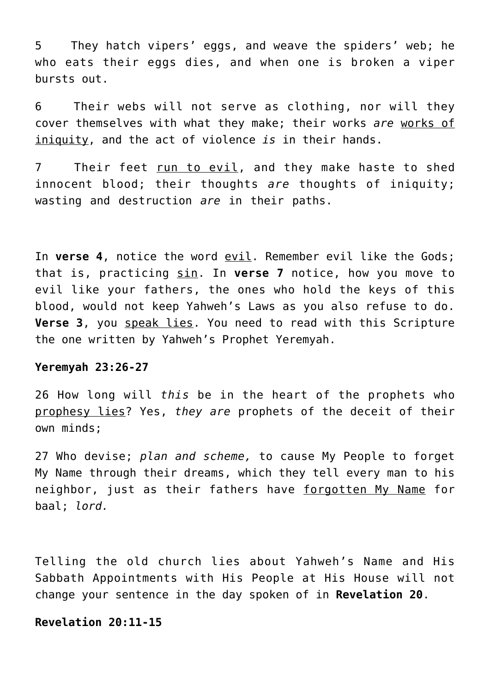5 They hatch vipers' eggs, and weave the spiders' web; he who eats their eggs dies, and when one is broken a viper bursts out.

6 Their webs will not serve as clothing, nor will they cover themselves with what they make; their works *are* works of iniquity, and the act of violence *is* in their hands.

7 Their feet run to evil, and they make haste to shed innocent blood; their thoughts *are* thoughts of iniquity; wasting and destruction *are* in their paths.

In **verse 4**, notice the word evil. Remember evil like the Gods; that is, practicing sin. In **verse 7** notice, how you move to evil like your fathers, the ones who hold the keys of this blood, would not keep Yahweh's Laws as you also refuse to do. **Verse 3**, you speak lies. You need to read with this Scripture the one written by Yahweh's Prophet Yeremyah.

#### **Yeremyah 23:26-27**

26 How long will *this* be in the heart of the prophets who prophesy lies? Yes, *they are* prophets of the deceit of their own minds;

27 Who devise; *plan and scheme,* to cause My People to forget My Name through their dreams, which they tell every man to his neighbor, just as their fathers have forgotten My Name for baal; *lord.*

Telling the old church lies about Yahweh's Name and His Sabbath Appointments with His People at His House will not change your sentence in the day spoken of in **Revelation 20**.

#### **Revelation 20:11-15**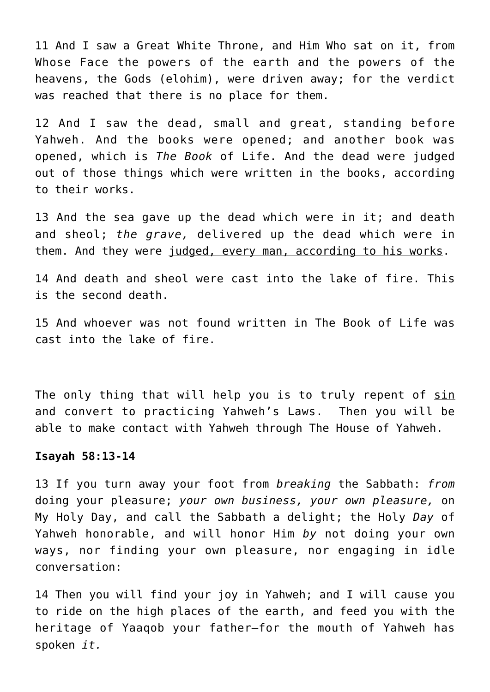11 And I saw a Great White Throne, and Him Who sat on it, from Whose Face the powers of the earth and the powers of the heavens, the Gods (elohim), were driven away; for the verdict was reached that there is no place for them.

12 And I saw the dead, small and great, standing before Yahweh. And the books were opened; and another book was opened, which is *The Book* of Life. And the dead were judged out of those things which were written in the books, according to their works.

13 And the sea gave up the dead which were in it; and death and sheol; *the grave,* delivered up the dead which were in them. And they were judged, every man, according to his works.

14 And death and sheol were cast into the lake of fire. This is the second death.

15 And whoever was not found written in The Book of Life was cast into the lake of fire.

The only thing that will help you is to truly repent of sin and convert to practicing Yahweh's Laws. Then you will be able to make contact with Yahweh through The House of Yahweh.

#### **Isayah 58:13-14**

13 If you turn away your foot from *breaking* the Sabbath: *from* doing your pleasure; *your own business, your own pleasure,* on My Holy Day, and call the Sabbath a delight; the Holy *Day* of Yahweh honorable, and will honor Him *by* not doing your own ways, nor finding your own pleasure, nor engaging in idle conversation:

14 Then you will find your joy in Yahweh; and I will cause you to ride on the high places of the earth, and feed you with the heritage of Yaaqob your father—for the mouth of Yahweh has spoken *it.*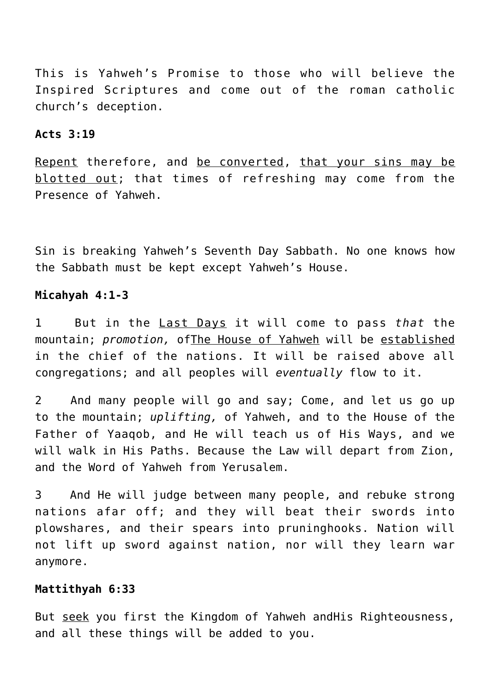This is Yahweh's Promise to those who will believe the Inspired Scriptures and come out of the roman catholic church's deception.

## **Acts 3:19**

Repent therefore, and be converted, that your sins may be blotted out; that times of refreshing may come from the Presence of Yahweh.

Sin is breaking Yahweh's Seventh Day Sabbath. No one knows how the Sabbath must be kept except Yahweh's House.

# **Micahyah 4:1-3**

1 But in the Last Days it will come to pass *that* the mountain; *promotion,* ofThe House of Yahweh will be established in the chief of the nations. It will be raised above all congregations; and all peoples will *eventually* flow to it.

2 And many people will go and say; Come, and let us go up to the mountain; *uplifting,* of Yahweh, and to the House of the Father of Yaaqob, and He will teach us of His Ways, and we will walk in His Paths. Because the Law will depart from Zion, and the Word of Yahweh from Yerusalem.

3 And He will judge between many people, and rebuke strong nations afar off; and they will beat their swords into plowshares, and their spears into pruninghooks. Nation will not lift up sword against nation, nor will they learn war anymore.

# **Mattithyah 6:33**

But seek you first the Kingdom of Yahweh andHis Righteousness, and all these things will be added to you.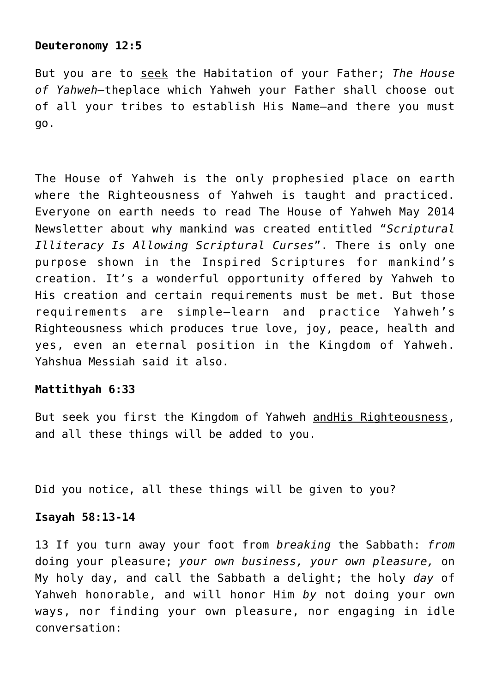## **Deuteronomy 12:5**

But you are to seek the Habitation of your Father; *The House of Yahweh—*theplace which Yahweh your Father shall choose out of all your tribes to establish His Name—and there you must go.

The House of Yahweh is the only prophesied place on earth where the Righteousness of Yahweh is taught and practiced. Everyone on earth needs to read The House of Yahweh May 2014 Newsletter about why mankind was created entitled "*Scriptural Illiteracy Is Allowing Scriptural Curses*". There is only one purpose shown in the Inspired Scriptures for mankind's creation. It's a wonderful opportunity offered by Yahweh to His creation and certain requirements must be met. But those requirements are simple–learn and practice Yahweh's Righteousness which produces true love, joy, peace, health and yes, even an eternal position in the Kingdom of Yahweh. Yahshua Messiah said it also.

## **Mattithyah 6:33**

But seek you first the Kingdom of Yahweh andHis Righteousness, and all these things will be added to you.

Did you notice, all these things will be given to you?

## **Isayah 58:13-14**

13 If you turn away your foot from *breaking* the Sabbath: *from* doing your pleasure; *your own business, your own pleasure,* on My holy day, and call the Sabbath a delight; the holy *day* of Yahweh honorable, and will honor Him *by* not doing your own ways, nor finding your own pleasure, nor engaging in idle conversation: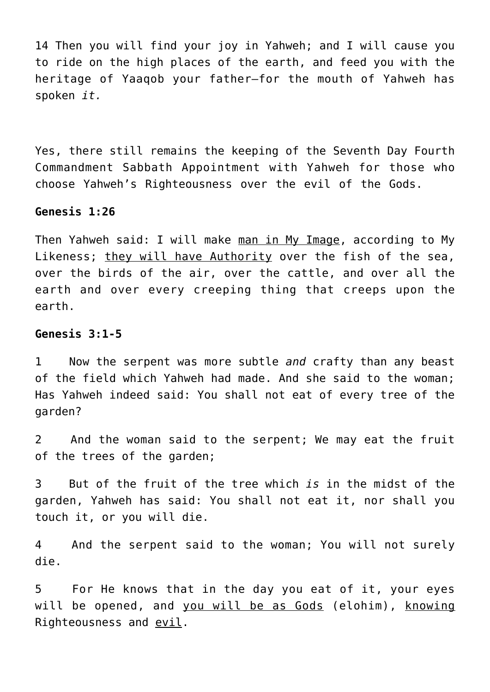14 Then you will find your joy in Yahweh; and I will cause you to ride on the high places of the earth, and feed you with the heritage of Yaaqob your father—for the mouth of Yahweh has spoken *it.*

Yes, there still remains the keeping of the Seventh Day Fourth Commandment Sabbath Appointment with Yahweh for those who choose Yahweh's Righteousness over the evil of the Gods.

## **Genesis 1:26**

Then Yahweh said: I will make man in My Image, according to My Likeness; they will have Authority over the fish of the sea, over the birds of the air, over the cattle, and over all the earth and over every creeping thing that creeps upon the earth.

## **Genesis 3:1-5**

1 Now the serpent was more subtle *and* crafty than any beast of the field which Yahweh had made. And she said to the woman; Has Yahweh indeed said: You shall not eat of every tree of the garden?

2 And the woman said to the serpent; We may eat the fruit of the trees of the garden;

3 But of the fruit of the tree which *is* in the midst of the garden, Yahweh has said: You shall not eat it, nor shall you touch it, or you will die.

4 And the serpent said to the woman; You will not surely die.

5 For He knows that in the day you eat of it, your eyes will be opened, and you will be as Gods (elohim), knowing Righteousness and evil.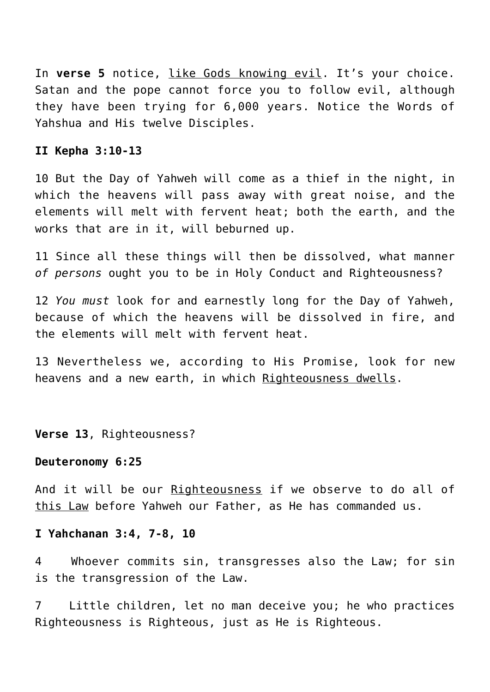In **verse 5** notice, like Gods knowing evil. It's your choice. Satan and the pope cannot force you to follow evil, although they have been trying for 6,000 years. Notice the Words of Yahshua and His twelve Disciples.

#### **II Kepha 3:10-13**

10 But the Day of Yahweh will come as a thief in the night, in which the heavens will pass away with great noise, and the elements will melt with fervent heat; both the earth, and the works that are in it, will beburned up.

11 Since all these things will then be dissolved, what manner *of persons* ought you to be in Holy Conduct and Righteousness?

12 *You must* look for and earnestly long for the Day of Yahweh, because of which the heavens will be dissolved in fire, and the elements will melt with fervent heat.

13 Nevertheless we, according to His Promise, look for new heavens and a new earth, in which Righteousness dwells.

**Verse 13**, Righteousness?

#### **Deuteronomy 6:25**

And it will be our Righteousness if we observe to do all of this Law before Yahweh our Father, as He has commanded us.

#### **I Yahchanan 3:4, 7-8, 10**

4 Whoever commits sin, transgresses also the Law; for sin is the transgression of the Law.

7 Little children, let no man deceive you; he who practices Righteousness is Righteous, just as He is Righteous.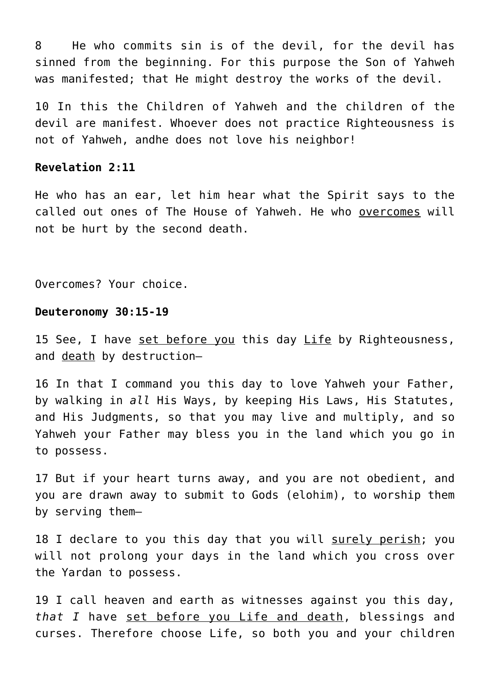8 He who commits sin is of the devil, for the devil has sinned from the beginning. For this purpose the Son of Yahweh was manifested; that He might destroy the works of the devil.

10 In this the Children of Yahweh and the children of the devil are manifest. Whoever does not practice Righteousness is not of Yahweh, andhe does not love his neighbor!

#### **Revelation 2:11**

He who has an ear, let him hear what the Spirit says to the called out ones of The House of Yahweh. He who overcomes will not be hurt by the second death.

Overcomes? Your choice.

#### **Deuteronomy 30:15-19**

15 See, I have set before you this day Life by Righteousness, and death by destruction—

16 In that I command you this day to love Yahweh your Father, by walking in *all* His Ways, by keeping His Laws, His Statutes, and His Judgments, so that you may live and multiply, and so Yahweh your Father may bless you in the land which you go in to possess.

17 But if your heart turns away, and you are not obedient, and you are drawn away to submit to Gods (elohim), to worship them by serving them—

18 I declare to you this day that you will surely perish; you will not prolong your days in the land which you cross over the Yardan to possess.

19 I call heaven and earth as witnesses against you this day, *that I* have set before you Life and death, blessings and curses. Therefore choose Life, so both you and your children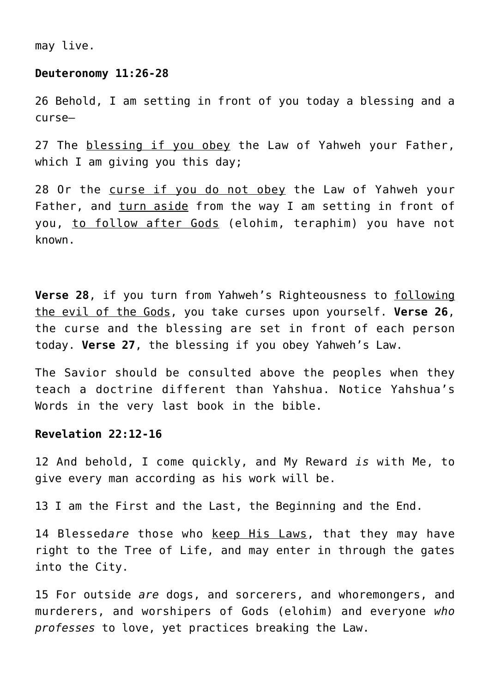may live.

#### **Deuteronomy 11:26-28**

26 Behold, I am setting in front of you today a blessing and a curse—

27 The blessing if you obey the Law of Yahweh your Father, which I am giving you this day;

28 Or the curse if you do not obey the Law of Yahweh your Father, and turn aside from the way I am setting in front of you, to follow after Gods (elohim, teraphim) you have not known.

**Verse 28**, if you turn from Yahweh's Righteousness to following the evil of the Gods, you take curses upon yourself. **Verse 26**, the curse and the blessing are set in front of each person today. **Verse 27**, the blessing if you obey Yahweh's Law.

The Savior should be consulted above the peoples when they teach a doctrine different than Yahshua. Notice Yahshua's Words in the very last book in the bible.

# **Revelation 22:12-16**

12 And behold, I come quickly, and My Reward *is* with Me, to give every man according as his work will be.

13 I am the First and the Last, the Beginning and the End.

14 Blessed*are* those who keep His Laws, that they may have right to the Tree of Life, and may enter in through the gates into the City.

15 For outside *are* dogs, and sorcerers, and whoremongers, and murderers, and worshipers of Gods (elohim) and everyone *who professes* to love, yet practices breaking the Law.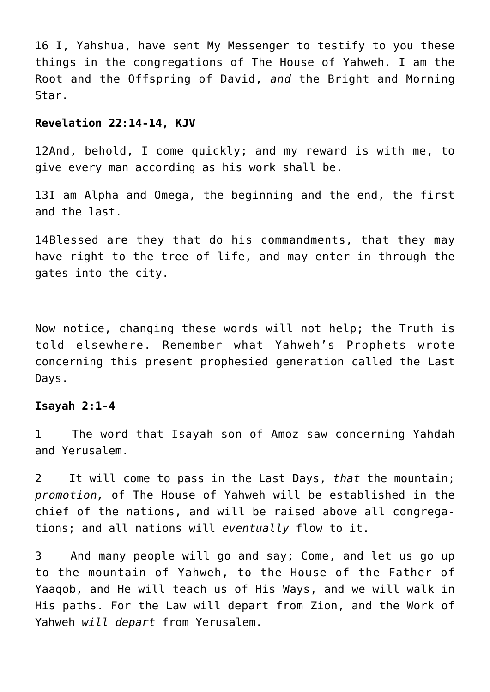16 I, Yahshua, have sent My Messenger to testify to you these things in the congregations of The House of Yahweh. I am the Root and the Offspring of David, *and* the Bright and Morning Star.

## **Revelation 22:14-14, KJV**

12And, behold, I come quickly; and my reward is with me, to give every man according as his work shall be.

13I am Alpha and Omega, the beginning and the end, the first and the last.

14Blessed are they that do his commandments, that they may have right to the tree of life, and may enter in through the gates into the city.

Now notice, changing these words will not help; the Truth is told elsewhere. Remember what Yahweh's Prophets wrote concerning this present prophesied generation called the Last Days.

# **Isayah 2:1-4**

1 The word that Isayah son of Amoz saw concerning Yahdah and Yerusalem.

2 It will come to pass in the Last Days, *that* the mountain; *promotion,* of The House of Yahweh will be established in the chief of the nations, and will be raised above all congregations; and all nations will *eventually* flow to it.

3 And many people will go and say; Come, and let us go up to the mountain of Yahweh, to the House of the Father of Yaaqob, and He will teach us of His Ways, and we will walk in His paths. For the Law will depart from Zion, and the Work of Yahweh *will depart* from Yerusalem.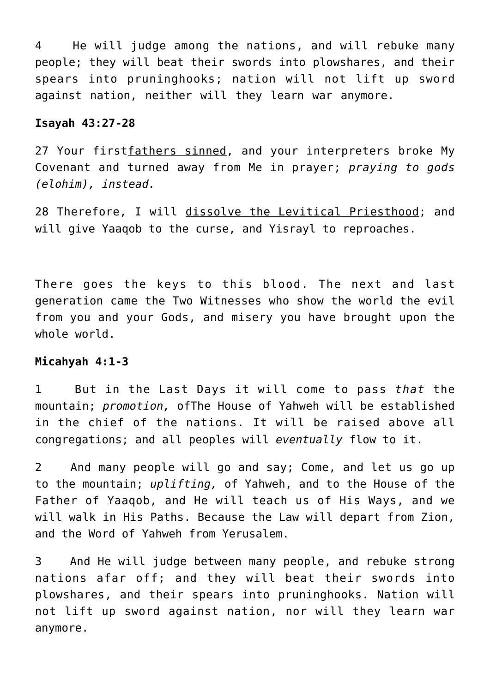4 He will judge among the nations, and will rebuke many people; they will beat their swords into plowshares, and their spears into pruninghooks; nation will not lift up sword against nation, neither will they learn war anymore.

## **Isayah 43:27-28**

27 Your firstfathers sinned, and your interpreters broke My Covenant and turned away from Me in prayer; *praying to gods (elohim), instead.*

28 Therefore, I will dissolve the Levitical Priesthood; and will give Yaaqob to the curse, and Yisrayl to reproaches.

There goes the keys to this blood. The next and last generation came the Two Witnesses who show the world the evil from you and your Gods, and misery you have brought upon the whole world.

# **Micahyah 4:1-3**

1 But in the Last Days it will come to pass *that* the mountain; *promotion,* ofThe House of Yahweh will be established in the chief of the nations. It will be raised above all congregations; and all peoples will *eventually* flow to it.

2 And many people will go and say; Come, and let us go up to the mountain; *uplifting,* of Yahweh, and to the House of the Father of Yaaqob, and He will teach us of His Ways, and we will walk in His Paths. Because the Law will depart from Zion, and the Word of Yahweh from Yerusalem.

3 And He will judge between many people, and rebuke strong nations afar off; and they will beat their swords into plowshares, and their spears into pruninghooks. Nation will not lift up sword against nation, nor will they learn war anymore.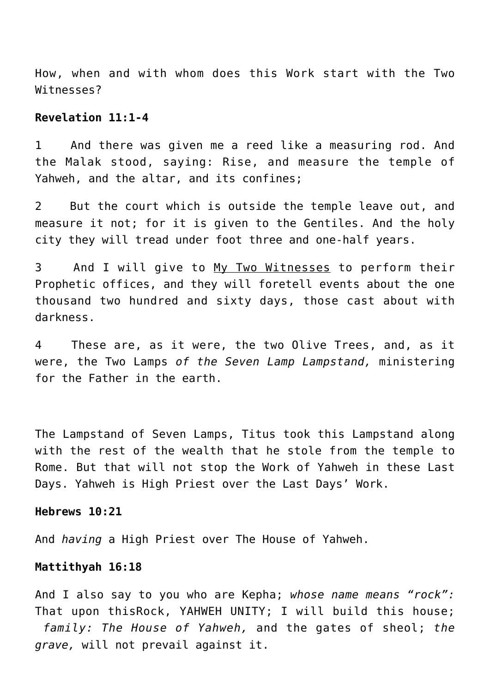How, when and with whom does this Work start with the Two Witnesses?

## **Revelation 11:1-4**

1 And there was given me a reed like a measuring rod. And the Malak stood, saying: Rise, and measure the temple of Yahweh, and the altar, and its confines;

2 But the court which is outside the temple leave out, and measure it not; for it is given to the Gentiles. And the holy city they will tread under foot three and one-half years.

3 And I will give to My Two Witnesses to perform their Prophetic offices, and they will foretell events about the one thousand two hundred and sixty days, those cast about with darkness.

4 These are, as it were, the two Olive Trees, and, as it were, the Two Lamps *of the Seven Lamp Lampstand,* ministering for the Father in the earth.

The Lampstand of Seven Lamps, Titus took this Lampstand along with the rest of the wealth that he stole from the temple to Rome. But that will not stop the Work of Yahweh in these Last Days. Yahweh is High Priest over the Last Days' Work.

#### **Hebrews 10:21**

And *having* a High Priest over The House of Yahweh.

#### **Mattithyah 16:18**

And I also say to you who are Kepha; *whose name means "rock":* That upon thisRock, YAHWEH UNITY; I will build this house;  *family: The House of Yahweh,* and the gates of sheol; *the grave,* will not prevail against it.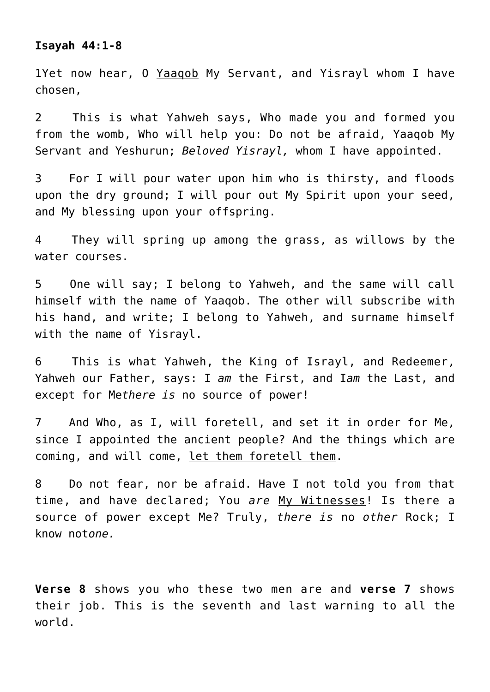# **Isayah 44:1-8**

1Yet now hear, O Yaaqob My Servant, and Yisrayl whom I have chosen,

2 This is what Yahweh says, Who made you and formed you from the womb, Who will help you: Do not be afraid, Yaaqob My Servant and Yeshurun; *Beloved Yisrayl,* whom I have appointed.

3 For I will pour water upon him who is thirsty, and floods upon the dry ground; I will pour out My Spirit upon your seed, and My blessing upon your offspring.

4 They will spring up among the grass, as willows by the water courses.

5 One will say; I belong to Yahweh, and the same will call himself with the name of Yaaqob. The other will subscribe with his hand, and write; I belong to Yahweh, and surname himself with the name of Yisrayl.

6 This is what Yahweh, the King of Israyl, and Redeemer, Yahweh our Father, says: I *am* the First, and I*am* the Last, and except for Me*there is* no source of power!

7 And Who, as I, will foretell, and set it in order for Me, since I appointed the ancient people? And the things which are coming, and will come, let them foretell them.

8 Do not fear, nor be afraid. Have I not told you from that time, and have declared; You *are* My Witnesses! Is there a source of power except Me? Truly, *there is* no *other* Rock; I know not*one.*

**Verse 8** shows you who these two men are and **verse 7** shows their job. This is the seventh and last warning to all the world.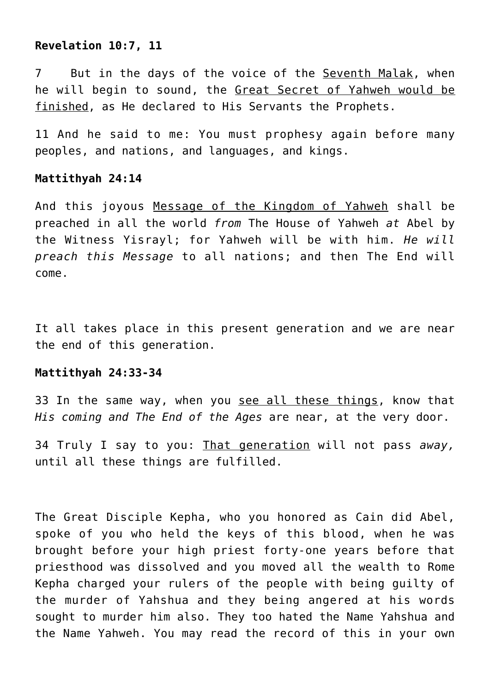# **Revelation 10:7, 11**

7 But in the days of the voice of the Seventh Malak, when he will begin to sound, the Great Secret of Yahweh would be finished, as He declared to His Servants the Prophets.

11 And he said to me: You must prophesy again before many peoples, and nations, and languages, and kings.

# **Mattithyah 24:14**

And this joyous Message of the Kingdom of Yahweh shall be preached in all the world *from* The House of Yahweh *at* Abel by the Witness Yisrayl; for Yahweh will be with him. *He will preach this Message* to all nations; and then The End will come.

It all takes place in this present generation and we are near the end of this generation.

## **Mattithyah 24:33-34**

33 In the same way, when you see all these things, know that *His coming and The End of the Ages* are near, at the very door.

34 Truly I say to you: That generation will not pass *away,* until all these things are fulfilled.

The Great Disciple Kepha, who you honored as Cain did Abel, spoke of you who held the keys of this blood, when he was brought before your high priest forty-one years before that priesthood was dissolved and you moved all the wealth to Rome Kepha charged your rulers of the people with being guilty of the murder of Yahshua and they being angered at his words sought to murder him also. They too hated the Name Yahshua and the Name Yahweh. You may read the record of this in your own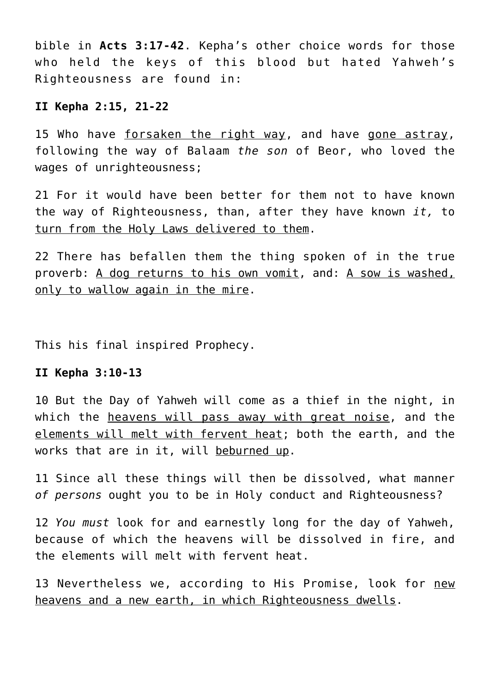bible in **Acts 3:17-42**. Kepha's other choice words for those who held the keys of this blood but hated Yahweh's Righteousness are found in:

# **II Kepha 2:15, 21-22**

15 Who have forsaken the right way, and have gone astray, following the way of Balaam *the son* of Beor, who loved the wages of unrighteousness;

21 For it would have been better for them not to have known the way of Righteousness, than, after they have known *it,* to turn from the Holy Laws delivered to them.

22 There has befallen them the thing spoken of in the true proverb: A dog returns to his own vomit, and: A sow is washed, only to wallow again in the mire.

This his final inspired Prophecy.

## **II Kepha 3:10-13**

10 But the Day of Yahweh will come as a thief in the night, in which the heavens will pass away with great noise, and the elements will melt with fervent heat; both the earth, and the works that are in it, will beburned up.

11 Since all these things will then be dissolved, what manner *of persons* ought you to be in Holy conduct and Righteousness?

12 *You must* look for and earnestly long for the day of Yahweh, because of which the heavens will be dissolved in fire, and the elements will melt with fervent heat.

13 Nevertheless we, according to His Promise, look for new heavens and a new earth, in which Righteousness dwells.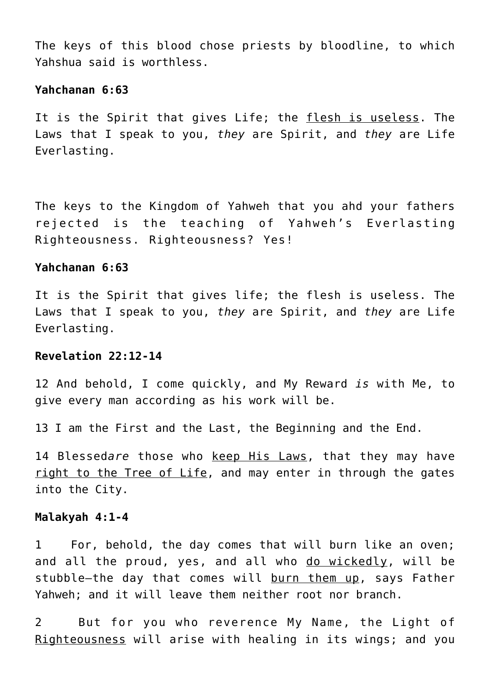The keys of this blood chose priests by bloodline, to which Yahshua said is worthless.

## **Yahchanan 6:63**

It is the Spirit that gives Life; the flesh is useless. The Laws that I speak to you, *they* are Spirit, and *they* are Life Everlasting.

The keys to the Kingdom of Yahweh that you ahd your fathers rejected is the teaching of Yahweh's Everlasting Righteousness. Righteousness? Yes!

# **Yahchanan 6:63**

It is the Spirit that gives life; the flesh is useless. The Laws that I speak to you, *they* are Spirit, and *they* are Life Everlasting.

## **Revelation 22:12-14**

12 And behold, I come quickly, and My Reward *is* with Me, to give every man according as his work will be.

13 I am the First and the Last, the Beginning and the End.

14 Blessed*are* those who keep His Laws, that they may have right to the Tree of Life, and may enter in through the gates into the City.

#### **Malakyah 4:1-4**

1 For, behold, the day comes that will burn like an oven; and all the proud, yes, and all who do wickedly, will be stubble-the day that comes will burn them up, says Father Yahweh; and it will leave them neither root nor branch.

2 But for you who reverence My Name, the Light of Righteousness will arise with healing in its wings; and you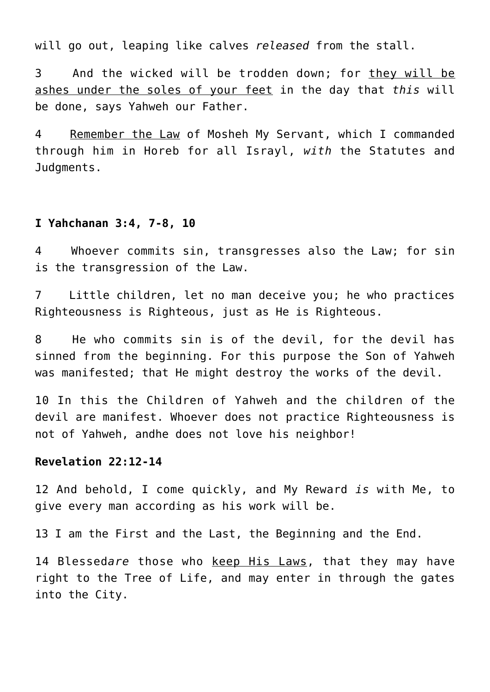will go out, leaping like calves *released* from the stall.

3 And the wicked will be trodden down; for they will be ashes under the soles of your feet in the day that *this* will be done, says Yahweh our Father.

4 Remember the Law of Mosheh My Servant, which I commanded through him in Horeb for all Israyl, *with* the Statutes and Judgments.

#### **I Yahchanan 3:4, 7-8, 10**

4 Whoever commits sin, transgresses also the Law; for sin is the transgression of the Law.

7 Little children, let no man deceive you; he who practices Righteousness is Righteous, just as He is Righteous.

8 He who commits sin is of the devil, for the devil has sinned from the beginning. For this purpose the Son of Yahweh was manifested; that He might destroy the works of the devil.

10 In this the Children of Yahweh and the children of the devil are manifest. Whoever does not practice Righteousness is not of Yahweh, andhe does not love his neighbor!

# **Revelation 22:12-14**

12 And behold, I come quickly, and My Reward *is* with Me, to give every man according as his work will be.

13 I am the First and the Last, the Beginning and the End.

14 Blessed*are* those who keep His Laws, that they may have right to the Tree of Life, and may enter in through the gates into the City.